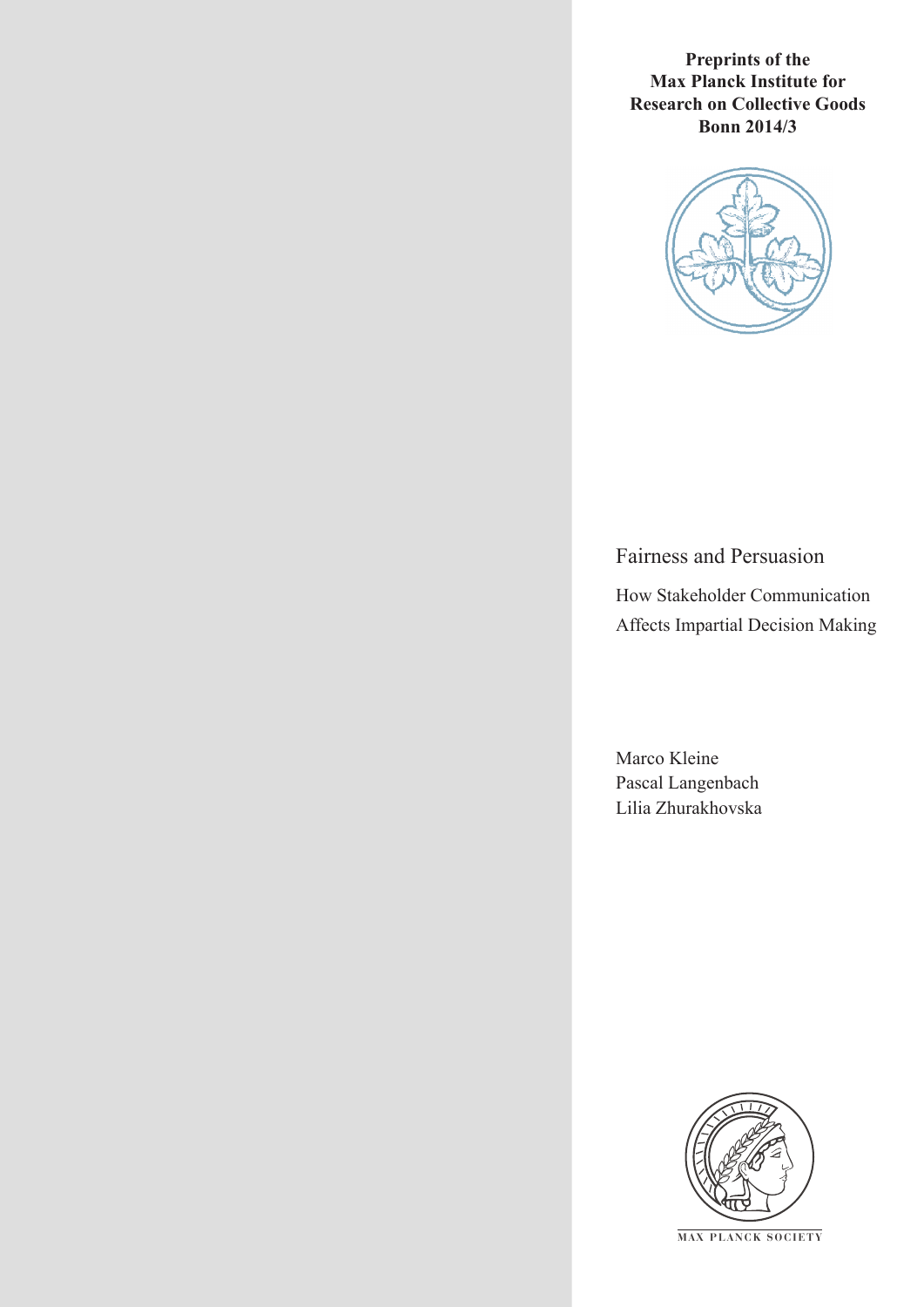**Preprints of the Max Planck Institute for Research on Collective Goods Bonn 2014/3**



Fairness and Persuasion

How Stakeholder Communication Affects Impartial Decision Making

Marco Kleine Pascal Langenbach Lilia Zhurakhovska



**M AX PLANCK SOCIETY**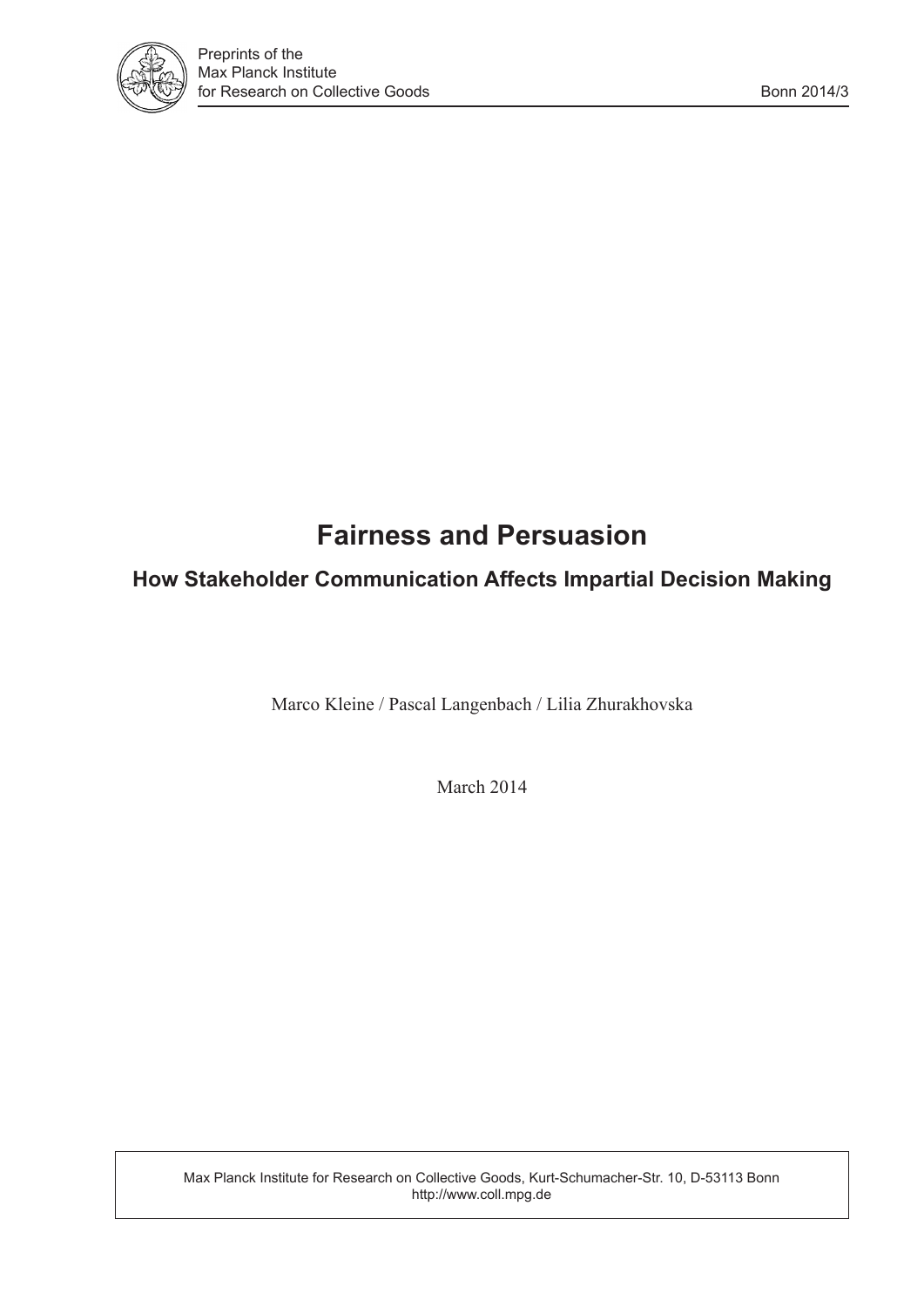

# **Fairness and Persuasion**

## **How Stakeholder Communication Affects Impartial Decision Making**

Marco Kleine / Pascal Langenbach / Lilia Zhurakhovska

March 2014

Max Planck Institute for Research on Collective Goods, Kurt-Schumacher-Str. 10, D-53113 Bonn http://www.coll.mpg.de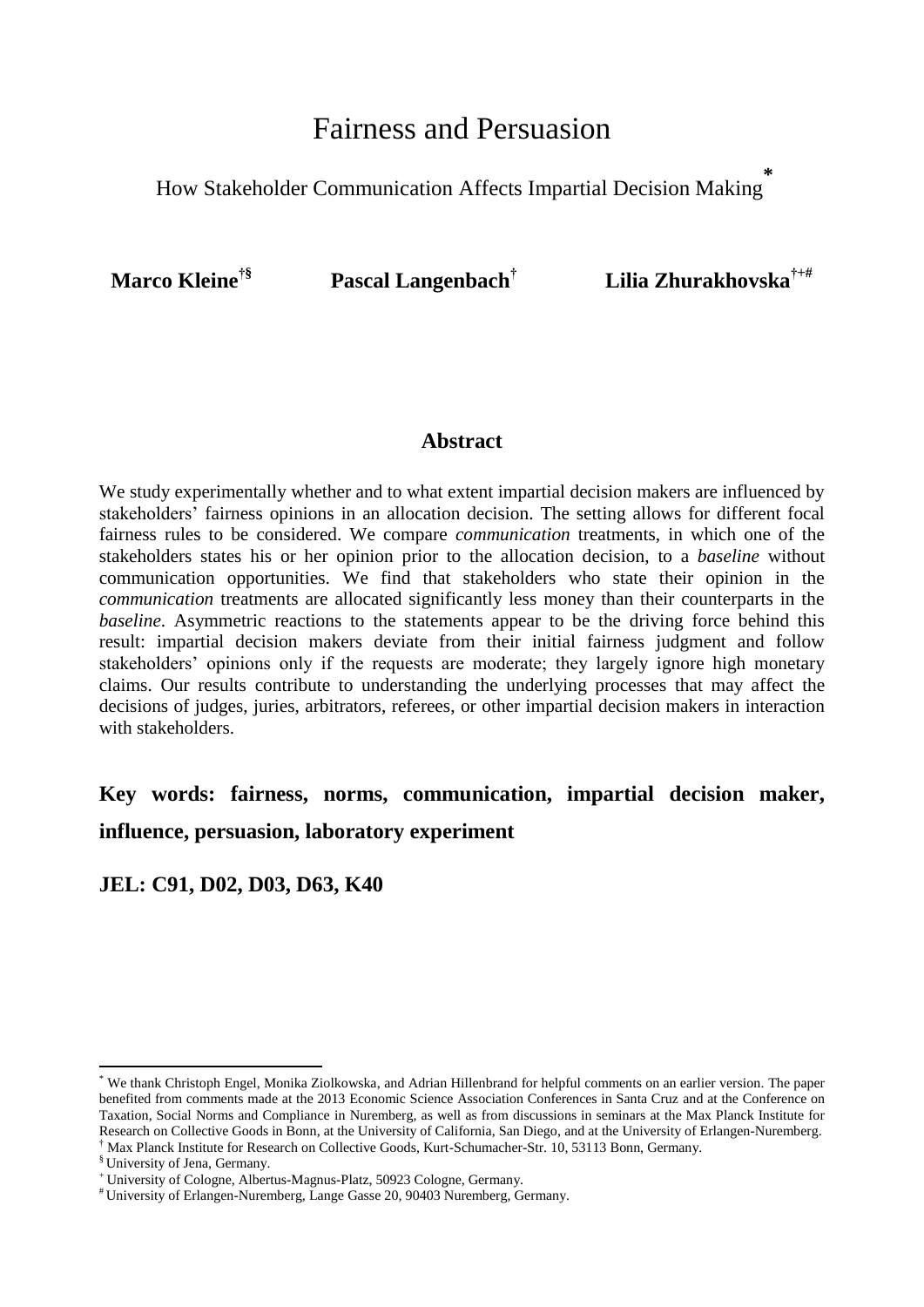## Fairness and Persuasion

How Stakeholder Communication Affects Impartial Decision Making **\***

**Marco Kleine†§**

**Pascal Langenbach† Lilia Zhurakhovska†+#**

### **Abstract**

We study experimentally whether and to what extent impartial decision makers are influenced by stakeholders' fairness opinions in an allocation decision. The setting allows for different focal fairness rules to be considered. We compare *communication* treatments, in which one of the stakeholders states his or her opinion prior to the allocation decision, to a *baseline* without communication opportunities. We find that stakeholders who state their opinion in the *communication* treatments are allocated significantly less money than their counterparts in the *baseline*. Asymmetric reactions to the statements appear to be the driving force behind this result: impartial decision makers deviate from their initial fairness judgment and follow stakeholders' opinions only if the requests are moderate; they largely ignore high monetary claims. Our results contribute to understanding the underlying processes that may affect the decisions of judges, juries, arbitrators, referees, or other impartial decision makers in interaction with stakeholders.

## **Key words: fairness, norms, communication, impartial decision maker, influence, persuasion, laboratory experiment**

**JEL: C91, D02, D03, D63, K40**

<sup>\*</sup> We thank Christoph Engel, Monika Ziolkowska, and Adrian Hillenbrand for helpful comments on an earlier version. The paper benefited from comments made at the 2013 Economic Science Association Conferences in Santa Cruz and at the Conference on Taxation, Social Norms and Compliance in Nuremberg, as well as from discussions in seminars at the Max Planck Institute for Research on Collective Goods in Bonn, at the University of California, San Diego, and at the University of Erlangen-Nuremberg. † Max Planck Institute for Research on Collective Goods, Kurt-Schumacher-Str. 10, 53113 Bonn, Germany.

<sup>§</sup> University of Jena, Germany.

<sup>+</sup> University of Cologne, Albertus-Magnus-Platz, 50923 Cologne, Germany.

<sup>#</sup> University of Erlangen-Nuremberg, Lange Gasse 20, 90403 Nuremberg, Germany.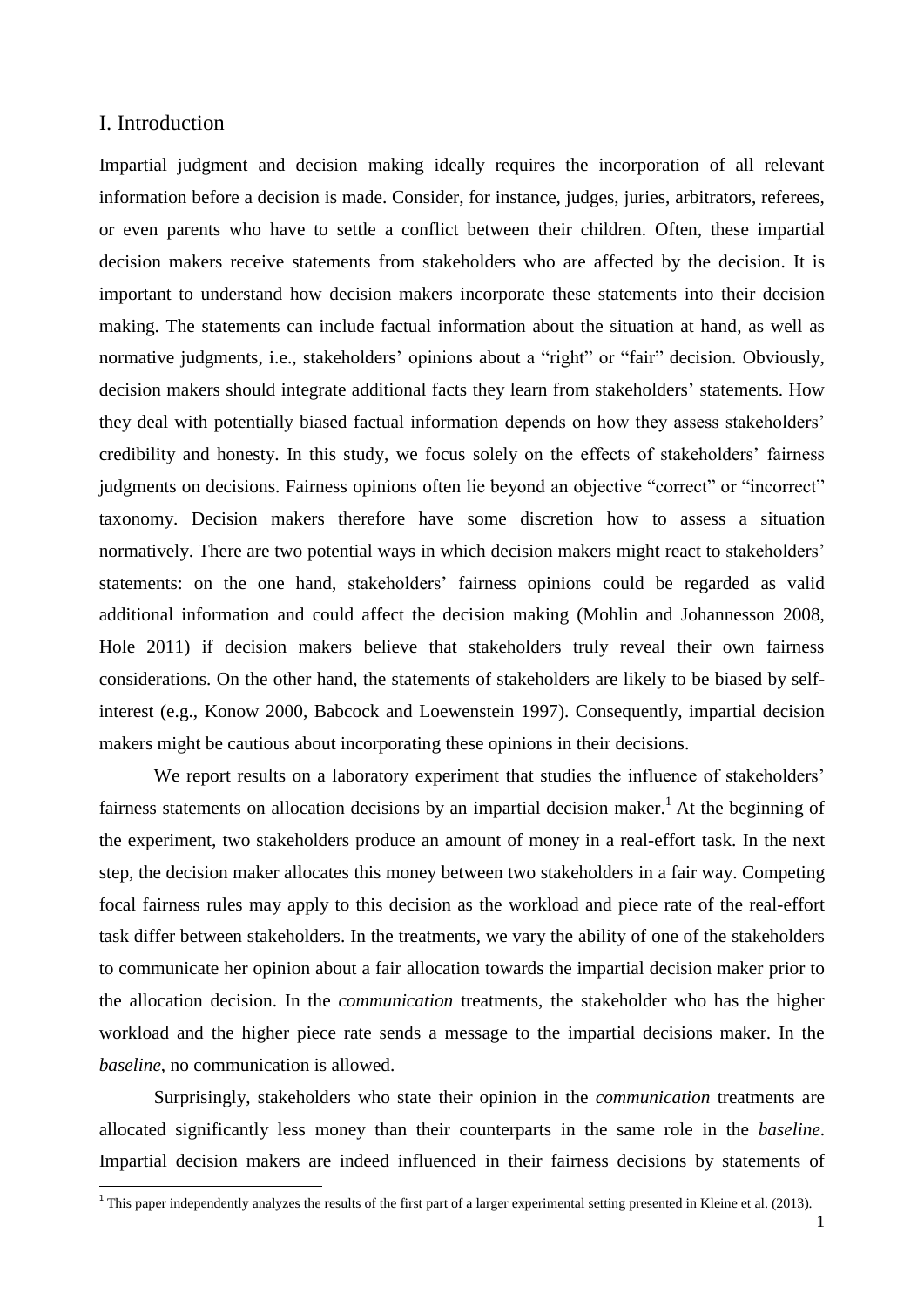#### I. Introduction

Impartial judgment and decision making ideally requires the incorporation of all relevant information before a decision is made. Consider, for instance, judges, juries, arbitrators, referees, or even parents who have to settle a conflict between their children. Often, these impartial decision makers receive statements from stakeholders who are affected by the decision. It is important to understand how decision makers incorporate these statements into their decision making. The statements can include factual information about the situation at hand, as well as normative judgments, i.e., stakeholders' opinions about a "right" or "fair" decision. Obviously, decision makers should integrate additional facts they learn from stakeholders' statements. How they deal with potentially biased factual information depends on how they assess stakeholders' credibility and honesty. In this study, we focus solely on the effects of stakeholders' fairness judgments on decisions. Fairness opinions often lie beyond an objective "correct" or "incorrect" taxonomy. Decision makers therefore have some discretion how to assess a situation normatively. There are two potential ways in which decision makers might react to stakeholders' statements: on the one hand, stakeholders' fairness opinions could be regarded as valid additional information and could affect the decision making (Mohlin and Johannesson 2008, Hole 2011) if decision makers believe that stakeholders truly reveal their own fairness considerations. On the other hand, the statements of stakeholders are likely to be biased by selfinterest (e.g., Konow 2000, Babcock and Loewenstein 1997). Consequently, impartial decision makers might be cautious about incorporating these opinions in their decisions.

We report results on a laboratory experiment that studies the influence of stakeholders' fairness statements on allocation decisions by an impartial decision maker.<sup>1</sup> At the beginning of the experiment, two stakeholders produce an amount of money in a real-effort task. In the next step, the decision maker allocates this money between two stakeholders in a fair way. Competing focal fairness rules may apply to this decision as the workload and piece rate of the real-effort task differ between stakeholders. In the treatments, we vary the ability of one of the stakeholders to communicate her opinion about a fair allocation towards the impartial decision maker prior to the allocation decision. In the *communication* treatments, the stakeholder who has the higher workload and the higher piece rate sends a message to the impartial decisions maker. In the *baseline*, no communication is allowed.

Surprisingly, stakeholders who state their opinion in the *communication* treatments are allocated significantly less money than their counterparts in the same role in the *baseline*. Impartial decision makers are indeed influenced in their fairness decisions by statements of

<sup>&</sup>lt;sup>1</sup> This paper independently analyzes the results of the first part of a larger experimental setting presented in Kleine et al. (2013).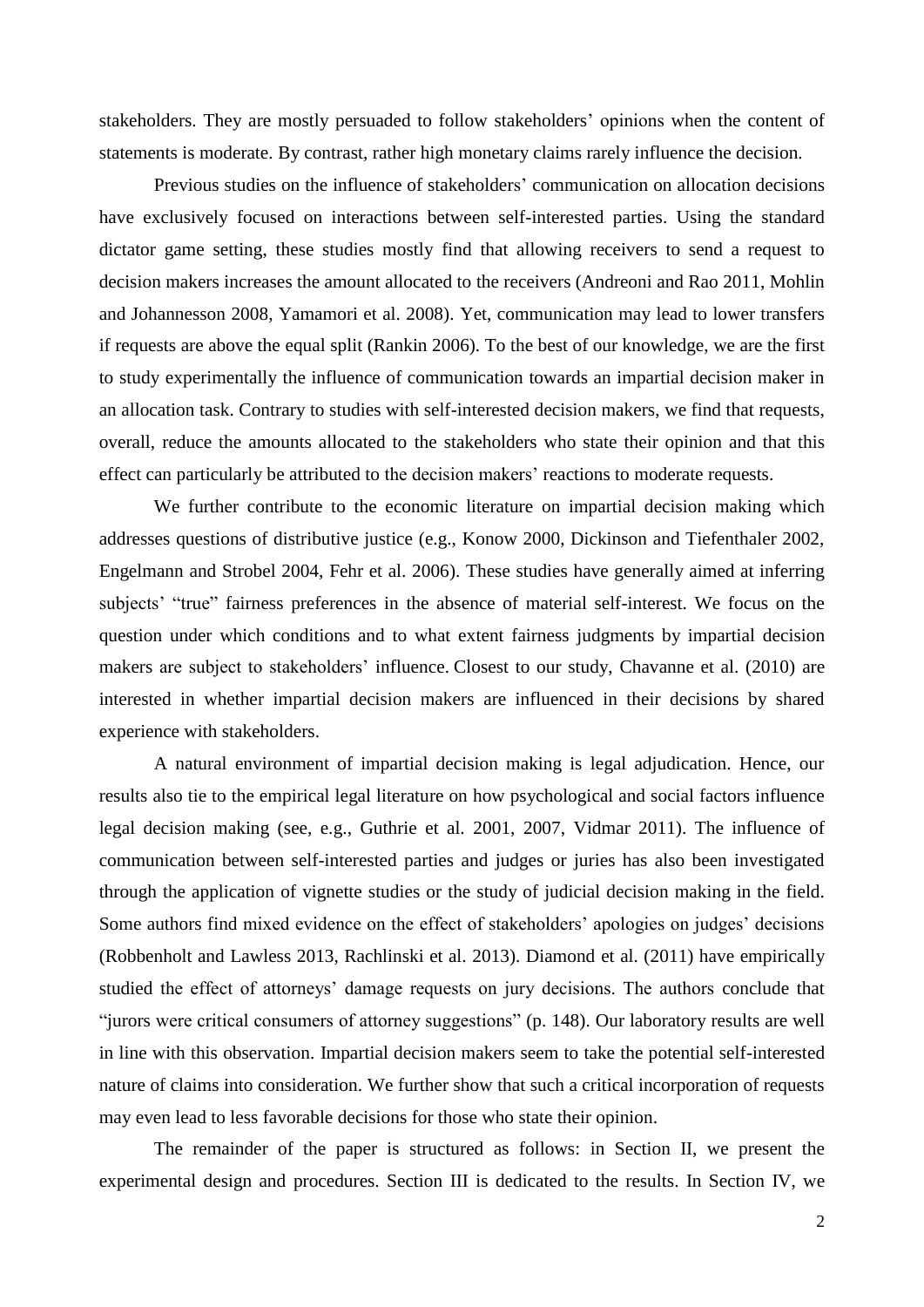stakeholders. They are mostly persuaded to follow stakeholders' opinions when the content of statements is moderate. By contrast, rather high monetary claims rarely influence the decision.

Previous studies on the influence of stakeholders' communication on allocation decisions have exclusively focused on interactions between self-interested parties. Using the standard dictator game setting, these studies mostly find that allowing receivers to send a request to decision makers increases the amount allocated to the receivers (Andreoni and Rao 2011, Mohlin and Johannesson 2008, Yamamori et al. 2008). Yet, communication may lead to lower transfers if requests are above the equal split (Rankin 2006). To the best of our knowledge, we are the first to study experimentally the influence of communication towards an impartial decision maker in an allocation task. Contrary to studies with self-interested decision makers, we find that requests, overall, reduce the amounts allocated to the stakeholders who state their opinion and that this effect can particularly be attributed to the decision makers' reactions to moderate requests.

We further contribute to the economic literature on impartial decision making which addresses questions of distributive justice (e.g., Konow 2000, Dickinson and Tiefenthaler 2002, Engelmann and Strobel 2004, Fehr et al. 2006). These studies have generally aimed at inferring subjects' "true" fairness preferences in the absence of material self-interest. We focus on the question under which conditions and to what extent fairness judgments by impartial decision makers are subject to stakeholders' influence. Closest to our study, Chavanne et al. (2010) are interested in whether impartial decision makers are influenced in their decisions by shared experience with stakeholders.

A natural environment of impartial decision making is legal adjudication. Hence, our results also tie to the empirical legal literature on how psychological and social factors influence legal decision making (see, e.g., Guthrie et al. 2001, 2007, Vidmar 2011). The influence of communication between self-interested parties and judges or juries has also been investigated through the application of vignette studies or the study of judicial decision making in the field. Some authors find mixed evidence on the effect of stakeholders' apologies on judges' decisions (Robbenholt and Lawless 2013, Rachlinski et al. 2013). Diamond et al. (2011) have empirically studied the effect of attorneys' damage requests on jury decisions. The authors conclude that "jurors were critical consumers of attorney suggestions" (p. 148). Our laboratory results are well in line with this observation. Impartial decision makers seem to take the potential self-interested nature of claims into consideration. We further show that such a critical incorporation of requests may even lead to less favorable decisions for those who state their opinion.

The remainder of the paper is structured as follows: in Section II, we present the experimental design and procedures. Section III is dedicated to the results. In Section IV, we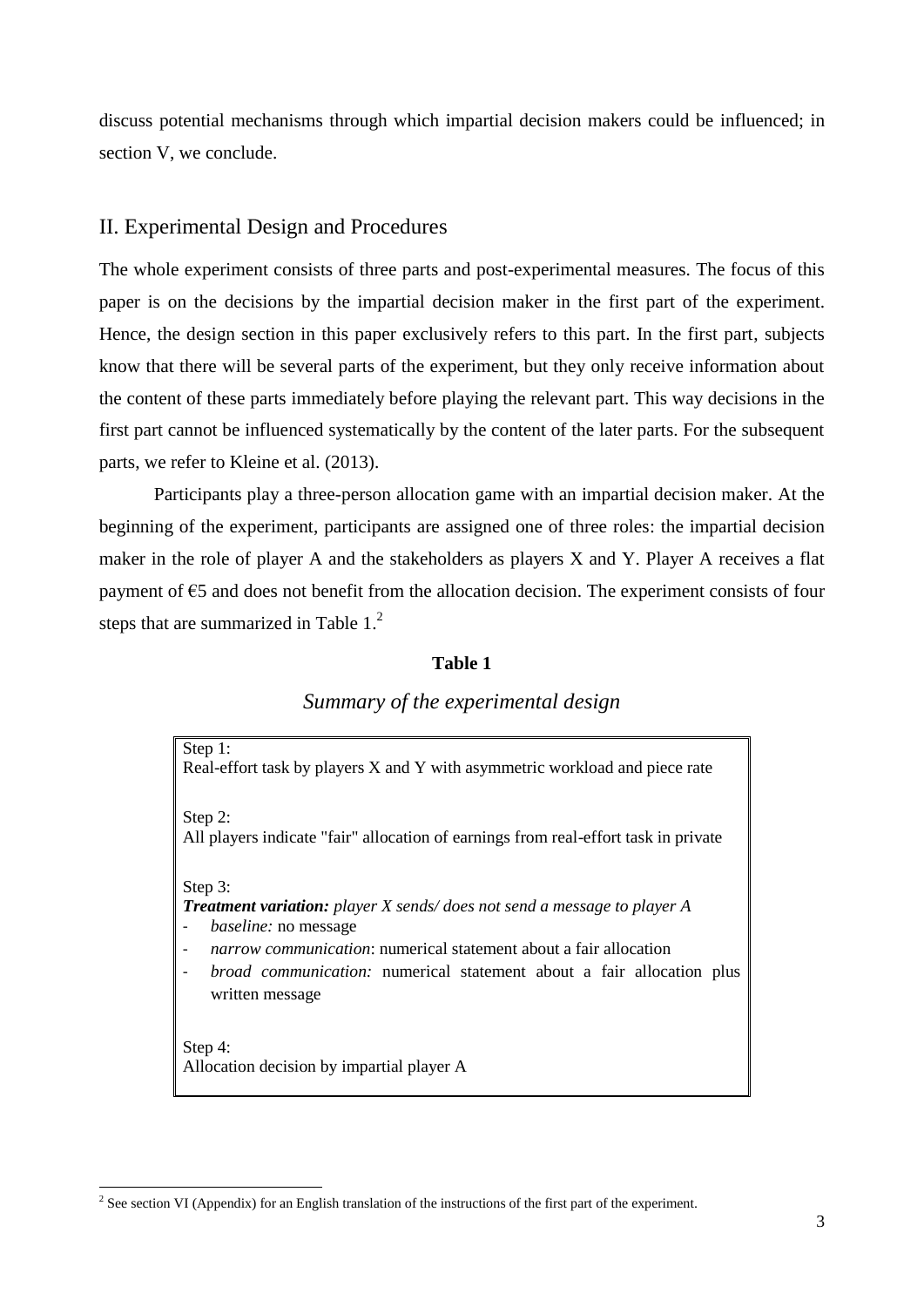discuss potential mechanisms through which impartial decision makers could be influenced; in section V, we conclude.

### II. Experimental Design and Procedures

The whole experiment consists of three parts and post-experimental measures. The focus of this paper is on the decisions by the impartial decision maker in the first part of the experiment. Hence, the design section in this paper exclusively refers to this part. In the first part, subjects know that there will be several parts of the experiment, but they only receive information about the content of these parts immediately before playing the relevant part. This way decisions in the first part cannot be influenced systematically by the content of the later parts. For the subsequent parts, we refer to Kleine et al. (2013).

Participants play a three-person allocation game with an impartial decision maker. At the beginning of the experiment, participants are assigned one of three roles: the impartial decision maker in the role of player A and the stakeholders as players X and Y. Player A receives a flat payment of €5 and does not benefit from the allocation decision. The experiment consists of four steps that are summarized in Table  $1<sup>2</sup>$ 

#### **Table 1**

#### *Summary of the experimental design*

| Step 1:                                                                             |
|-------------------------------------------------------------------------------------|
| Real-effort task by players X and Y with asymmetric workload and piece rate         |
|                                                                                     |
| Step 2:                                                                             |
| All players indicate "fair" allocation of earnings from real-effort task in private |
|                                                                                     |
| Step 3:                                                                             |
| <b>Treatment variation:</b> player X sends/does not send a message to player A      |
| <i>baseline:</i> no message                                                         |
| <i>narrow communication:</i> numerical statement about a fair allocation            |
| broad communication: numerical statement about a fair allocation plus               |
| written message                                                                     |
|                                                                                     |
|                                                                                     |
| Step 4:<br>Allocation decision by impartial player A                                |
|                                                                                     |

 $2^2$  See section VI (Appendix) for an English translation of the instructions of the first part of the experiment.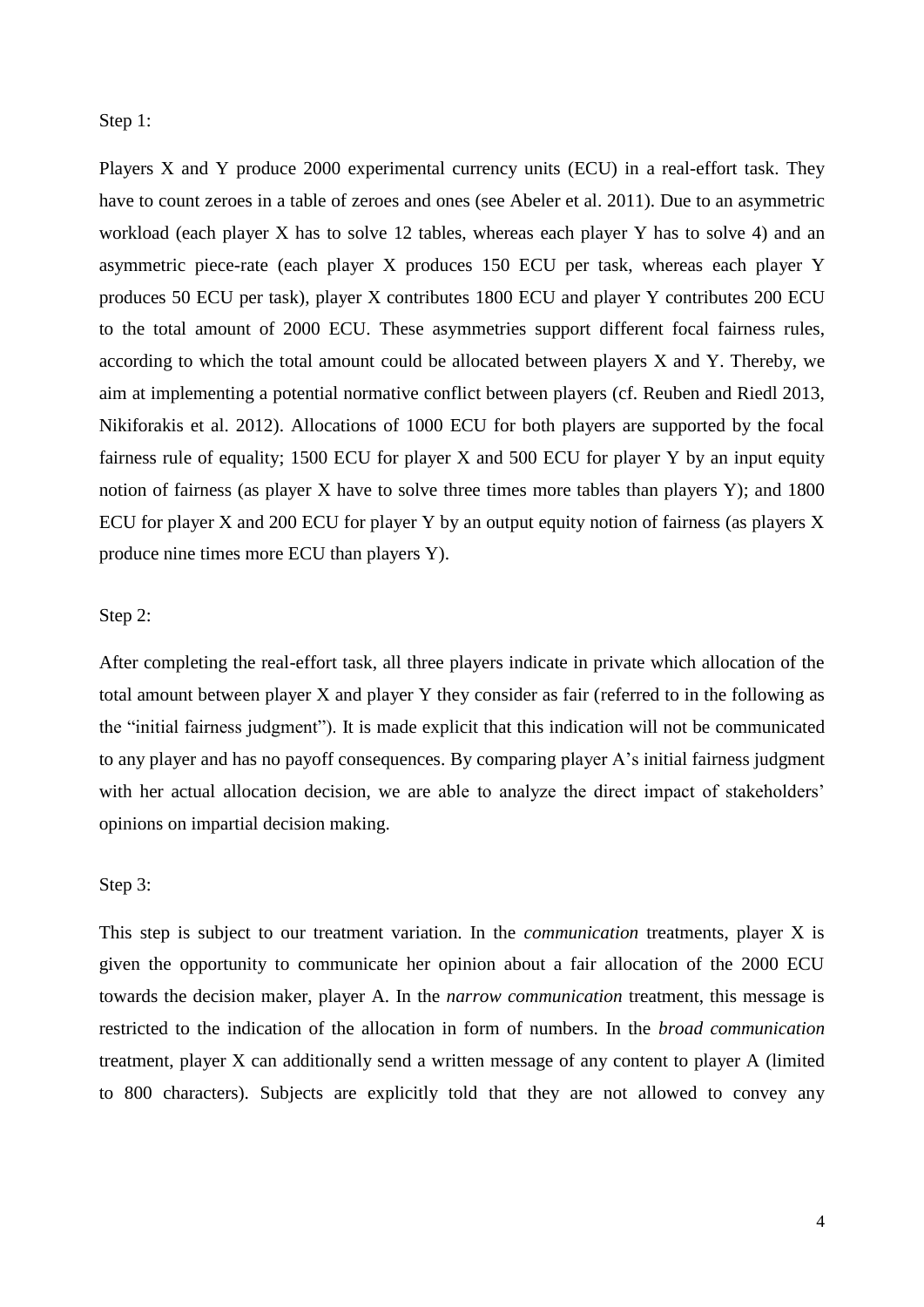#### Step 1:

Players X and Y produce 2000 experimental currency units (ECU) in a real-effort task. They have to count zeroes in a table of zeroes and ones (see Abeler et al. 2011). Due to an asymmetric workload (each player X has to solve 12 tables, whereas each player Y has to solve 4) and an asymmetric piece-rate (each player X produces 150 ECU per task, whereas each player Y produces 50 ECU per task), player X contributes 1800 ECU and player Y contributes 200 ECU to the total amount of 2000 ECU. These asymmetries support different focal fairness rules, according to which the total amount could be allocated between players  $X$  and  $Y$ . Thereby, we aim at implementing a potential normative conflict between players (cf. Reuben and Riedl 2013, Nikiforakis et al. 2012). Allocations of 1000 ECU for both players are supported by the focal fairness rule of equality; 1500 ECU for player  $X$  and 500 ECU for player  $Y$  by an input equity notion of fairness (as player X have to solve three times more tables than players Y); and 1800 ECU for player X and 200 ECU for player Y by an output equity notion of fairness (as players X produce nine times more ECU than players Y).

#### Step 2:

After completing the real-effort task, all three players indicate in private which allocation of the total amount between player X and player Y they consider as fair (referred to in the following as the "initial fairness judgment"). It is made explicit that this indication will not be communicated to any player and has no payoff consequences. By comparing player A's initial fairness judgment with her actual allocation decision, we are able to analyze the direct impact of stakeholders' opinions on impartial decision making.

#### Step 3:

This step is subject to our treatment variation. In the *communication* treatments, player X is given the opportunity to communicate her opinion about a fair allocation of the 2000 ECU towards the decision maker, player A. In the *narrow communication* treatment, this message is restricted to the indication of the allocation in form of numbers. In the *broad communication*  treatment, player X can additionally send a written message of any content to player A (limited to 800 characters). Subjects are explicitly told that they are not allowed to convey any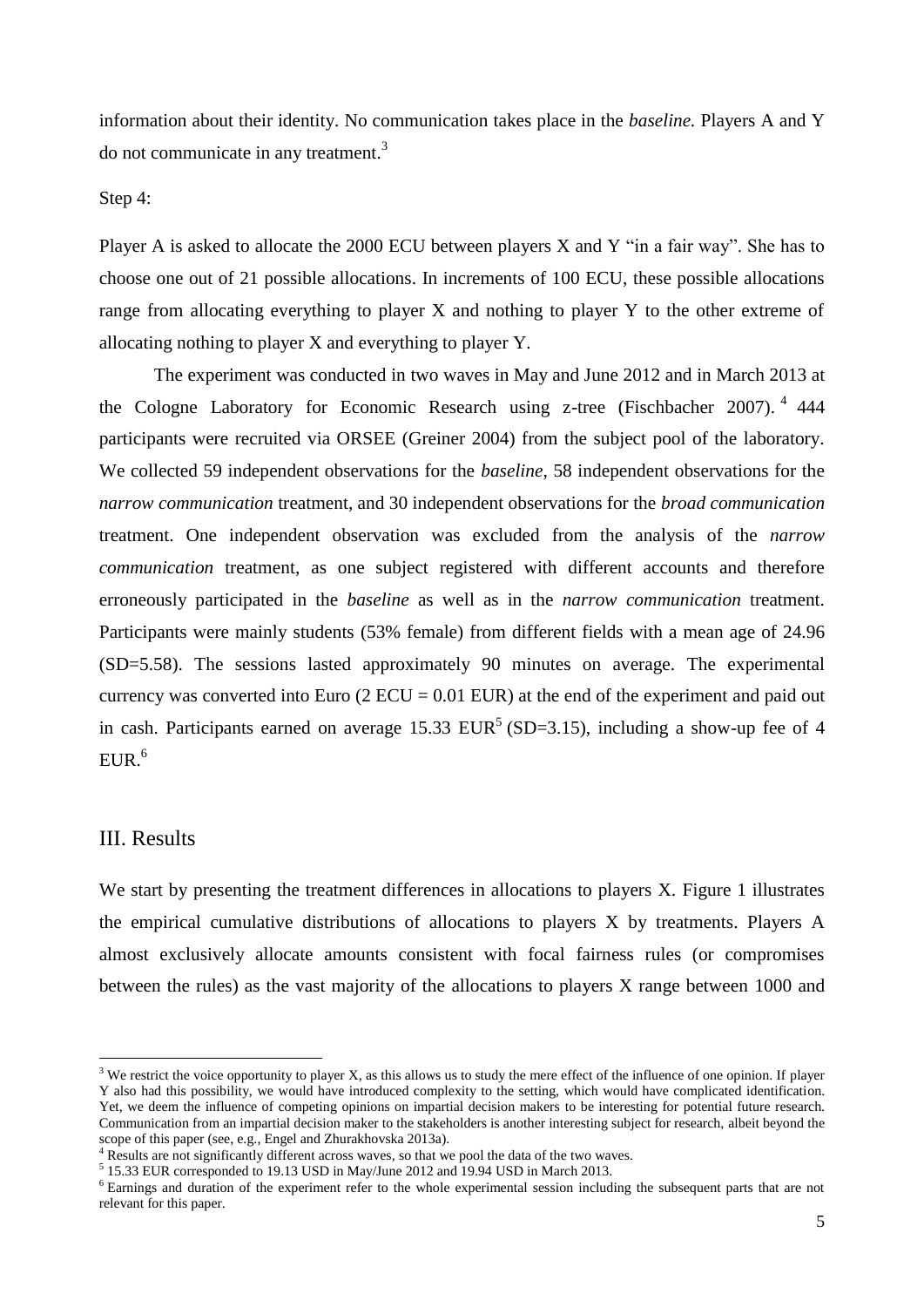information about their identity. No communication takes place in the *baseline.* Players A and Y do not communicate in any treatment.<sup>3</sup>

#### Step 4:

Player A is asked to allocate the 2000 ECU between players X and Y "in a fair way". She has to choose one out of 21 possible allocations. In increments of 100 ECU, these possible allocations range from allocating everything to player X and nothing to player Y to the other extreme of allocating nothing to player X and everything to player Y.

The experiment was conducted in two waves in May and June 2012 and in March 2013 at the Cologne Laboratory for Economic Research using z-tree (Fischbacher 2007).<sup>4</sup> 444 participants were recruited via ORSEE (Greiner 2004) from the subject pool of the laboratory. We collected 59 independent observations for the *baseline*, 58 independent observations for the *narrow communication* treatment, and 30 independent observations for the *broad communication*  treatment. One independent observation was excluded from the analysis of the *narrow communication* treatment, as one subject registered with different accounts and therefore erroneously participated in the *baseline* as well as in the *narrow communication* treatment. Participants were mainly students (53% female) from different fields with a mean age of 24.96 (SD=5.58). The sessions lasted approximately 90 minutes on average. The experimental currency was converted into Euro  $(2$  ECU = 0.01 EUR) at the end of the experiment and paid out in cash. Participants earned on average 15.33  $EUR<sup>5</sup>$  (SD=3.15), including a show-up fee of 4 EUR. 6

#### III. Results

 $\overline{\phantom{a}}$ 

We start by presenting the treatment differences in allocations to players X. Figure 1 illustrates the empirical cumulative distributions of allocations to players X by treatments. Players A almost exclusively allocate amounts consistent with focal fairness rules (or compromises between the rules) as the vast majority of the allocations to players X range between 1000 and

 $3$  We restrict the voice opportunity to player X, as this allows us to study the mere effect of the influence of one opinion. If player Y also had this possibility, we would have introduced complexity to the setting, which would have complicated identification. Yet, we deem the influence of competing opinions on impartial decision makers to be interesting for potential future research. Communication from an impartial decision maker to the stakeholders is another interesting subject for research, albeit beyond the scope of this paper (see, e.g., Engel and Zhurakhovska 2013a).

Results are not significantly different across waves, so that we pool the data of the two waves.

<sup>&</sup>lt;sup>5</sup> 15.33 EUR corresponded to 19.13 USD in May/June 2012 and 19.94 USD in March 2013.

<sup>&</sup>lt;sup>6</sup> Earnings and duration of the experiment refer to the whole experimental session including the subsequent parts that are not relevant for this paper.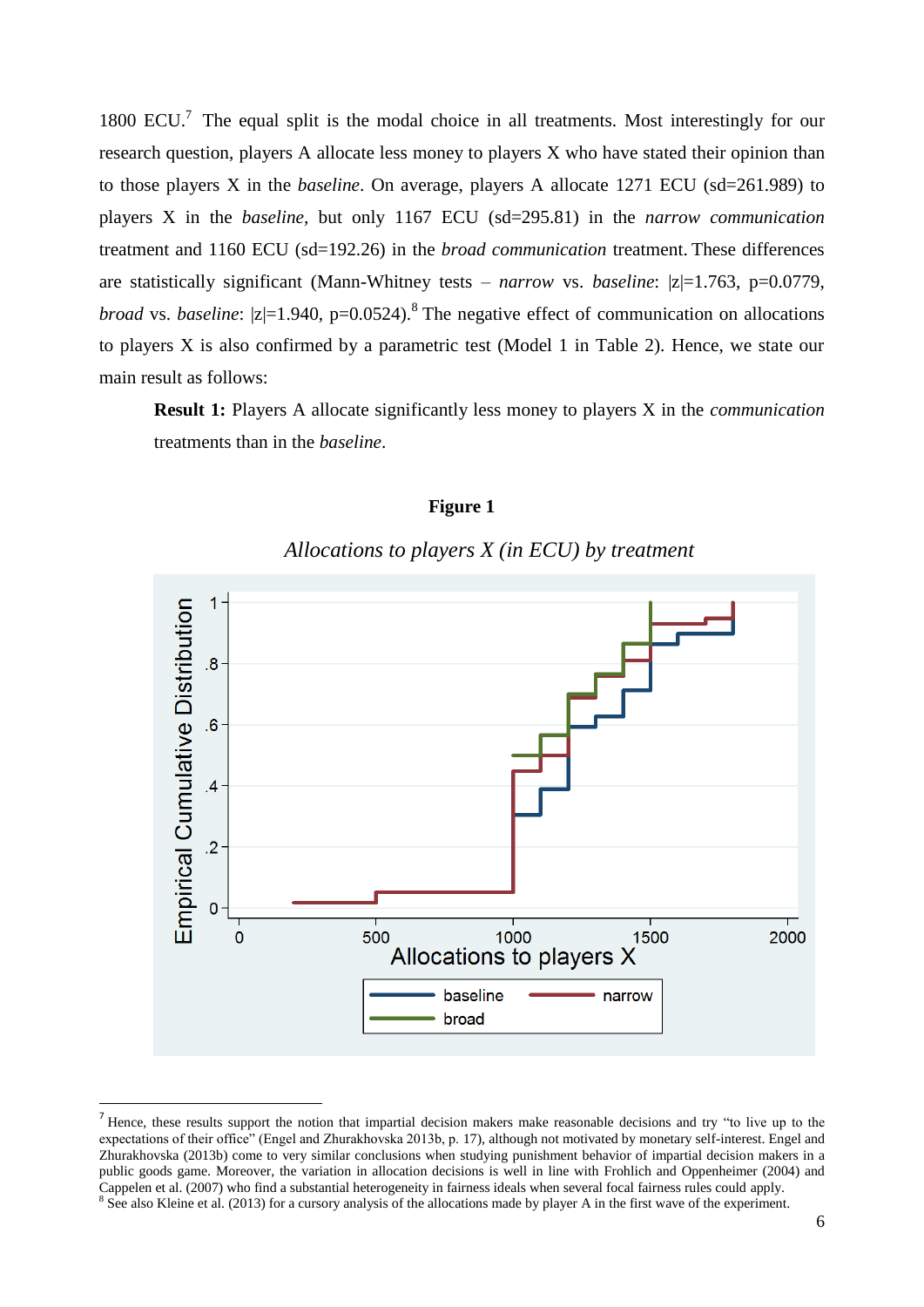1800 ECU.<sup>7</sup> The equal split is the modal choice in all treatments. Most interestingly for our research question, players A allocate less money to players X who have stated their opinion than to those players X in the *baseline*. On average, players A allocate 1271 ECU (sd=261.989) to players X in the *baseline,* but only 1167 ECU (sd=295.81) in the *narrow communication* treatment and 1160 ECU (sd=192.26) in the *broad communication* treatment. These differences are statistically significant (Mann-Whitney tests – *narrow* vs. *baseline*: |z|=1.763, p=0.0779, *broad* vs. *baseline*:  $|z|=1.940$ ,  $p=0.0524$ .<sup>8</sup> The negative effect of communication on allocations to players X is also confirmed by a parametric test (Model 1 in Table 2). Hence, we state our main result as follows:

**Result 1:** Players A allocate significantly less money to players X in the *communication* treatments than in the *baseline*.

#### **Figure 1**



#### *Allocations to players X (in ECU) by treatment*

<sup>&</sup>lt;sup>7</sup> Hence, these results support the notion that impartial decision makers make reasonable decisions and try "to live up to the expectations of their office" (Engel and Zhurakhovska 2013b, p. 17), although not motivated by monetary self-interest. Engel and Zhurakhovska (2013b) come to very similar conclusions when studying punishment behavior of impartial decision makers in a public goods game. Moreover, the variation in allocation decisions is well in line with Frohlich and Oppenheimer (2004) and Cappelen et al. (2007) who find a substantial heterogeneity in fairness ideals when several focal fairness rules could apply.

<sup>&</sup>lt;sup>8</sup> See also Kleine et al. (2013) for a cursory analysis of the allocations made by player A in the first wave of the experiment.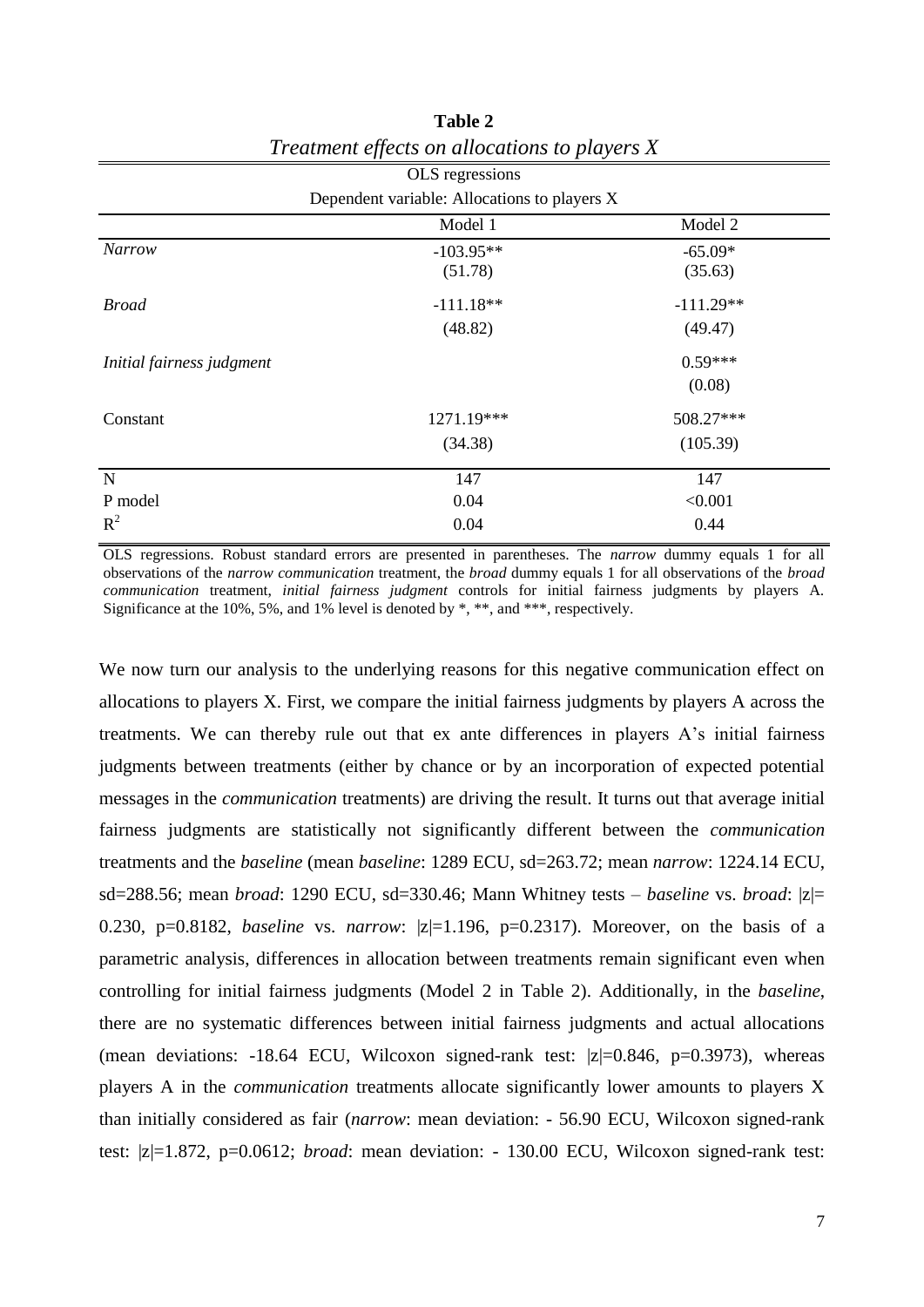| Dependent variable: Allocations to players X |             |             |  |  |
|----------------------------------------------|-------------|-------------|--|--|
|                                              | Model 1     | Model 2     |  |  |
| <b>Narrow</b>                                | $-103.95**$ | $-65.09*$   |  |  |
|                                              | (51.78)     | (35.63)     |  |  |
| <b>Broad</b>                                 | $-111.18**$ | $-111.29**$ |  |  |
|                                              | (48.82)     | (49.47)     |  |  |
| Initial fairness judgment                    |             | $0.59***$   |  |  |
|                                              |             | (0.08)      |  |  |
| Constant                                     | 1271.19***  | 508.27***   |  |  |
|                                              | (34.38)     | (105.39)    |  |  |
| N                                            | 147         | 147         |  |  |
| P model                                      | 0.04        | < 0.001     |  |  |
| $R^2$                                        | 0.04        | 0.44        |  |  |

**Table 2** *Treatment effects on allocations to players X*

OLS regressions. Robust standard errors are presented in parentheses. The *narrow* dummy equals 1 for all observations of the *narrow communication* treatment, the *broad* dummy equals 1 for all observations of the *broad communication* treatment, *initial fairness judgment* controls for initial fairness judgments by players A. Significance at the 10%, 5%, and 1% level is denoted by \*, \*\*, and \*\*\*, respectively.

We now turn our analysis to the underlying reasons for this negative communication effect on allocations to players X. First, we compare the initial fairness judgments by players A across the treatments. We can thereby rule out that ex ante differences in players A's initial fairness judgments between treatments (either by chance or by an incorporation of expected potential messages in the *communication* treatments) are driving the result. It turns out that average initial fairness judgments are statistically not significantly different between the *communication* treatments and the *baseline* (mean *baseline*: 1289 ECU, sd=263.72; mean *narrow*: 1224.14 ECU, sd=288.56; mean *broad*: 1290 ECU, sd=330.46; Mann Whitney tests – *baseline* vs. *broad*: |z|= 0.230, p=0.8182, *baseline* vs. *narrow*:  $|z|=1.196$ , p=0.2317). Moreover, on the basis of a parametric analysis, differences in allocation between treatments remain significant even when controlling for initial fairness judgments (Model 2 in Table 2). Additionally, in the *baseline*, there are no systematic differences between initial fairness judgments and actual allocations (mean deviations:  $-18.64$  ECU, Wilcoxon signed-rank test:  $|z|=0.846$ ,  $p=0.3973$ ), whereas players A in the *communication* treatments allocate significantly lower amounts to players X than initially considered as fair (*narrow*: mean deviation: - 56.90 ECU, Wilcoxon signed-rank test: |z|=1.872, p=0.0612; *broad*: mean deviation: - 130.00 ECU, Wilcoxon signed-rank test: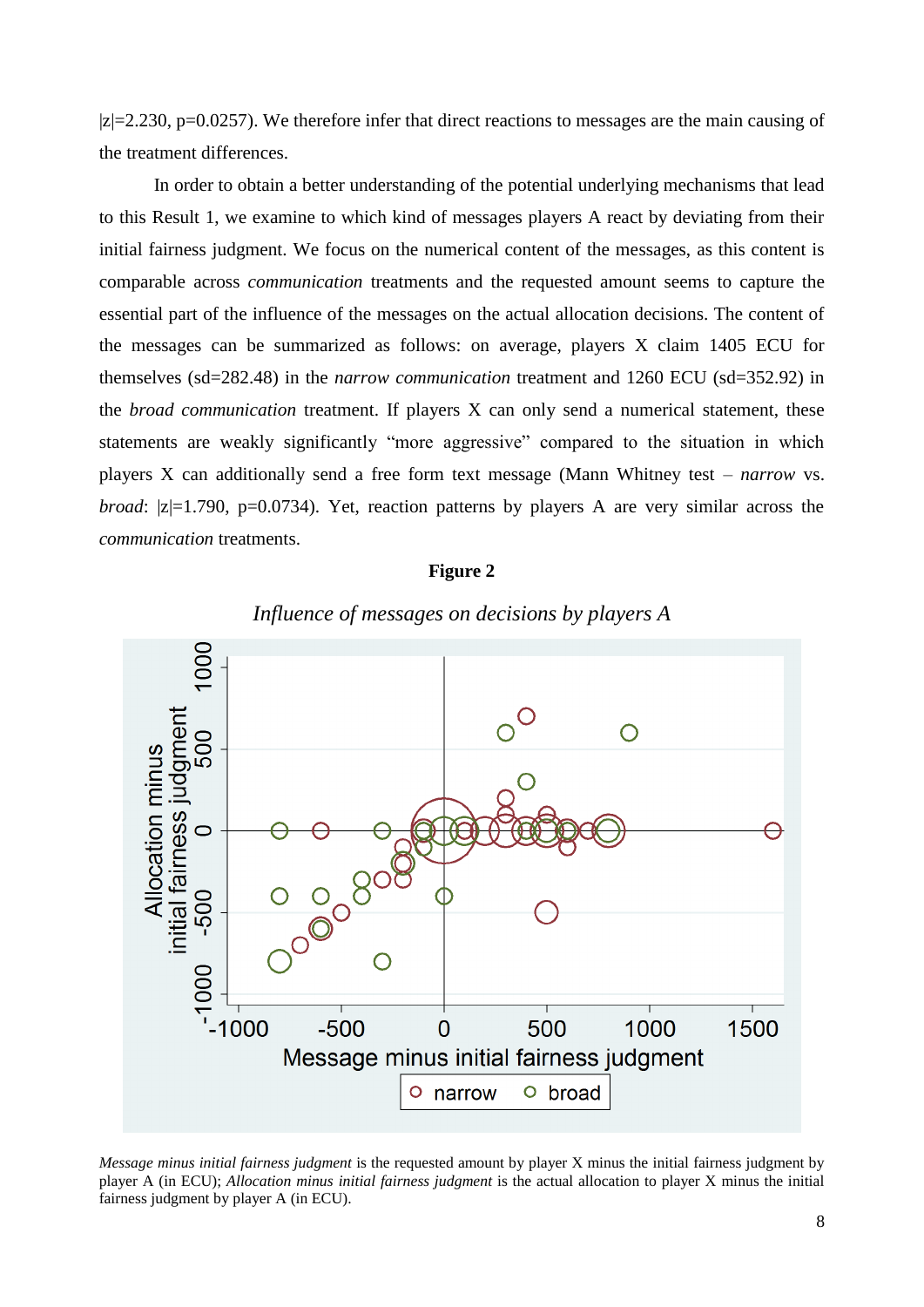$|z|=2.230$ ,  $p=0.0257$ ). We therefore infer that direct reactions to messages are the main causing of the treatment differences.

In order to obtain a better understanding of the potential underlying mechanisms that lead to this Result 1, we examine to which kind of messages players A react by deviating from their initial fairness judgment. We focus on the numerical content of the messages, as this content is comparable across *communication* treatments and the requested amount seems to capture the essential part of the influence of the messages on the actual allocation decisions. The content of the messages can be summarized as follows: on average, players X claim 1405 ECU for themselves (sd=282.48) in the *narrow communication* treatment and 1260 ECU (sd=352.92) in the *broad communication* treatment. If players X can only send a numerical statement, these statements are weakly significantly "more aggressive" compared to the situation in which players X can additionally send a free form text message (Mann Whitney test – *narrow* vs. *broad*:  $|z|=1.790$ , p=0.0734). Yet, reaction patterns by players A are very similar across the *communication* treatments.

#### **Figure 2**



#### *Influence of messages on decisions by players A*

*Message minus initial fairness judgment* is the requested amount by player X minus the initial fairness judgment by player A (in ECU); *Allocation minus initial fairness judgment* is the actual allocation to player X minus the initial fairness judgment by player A (in ECU).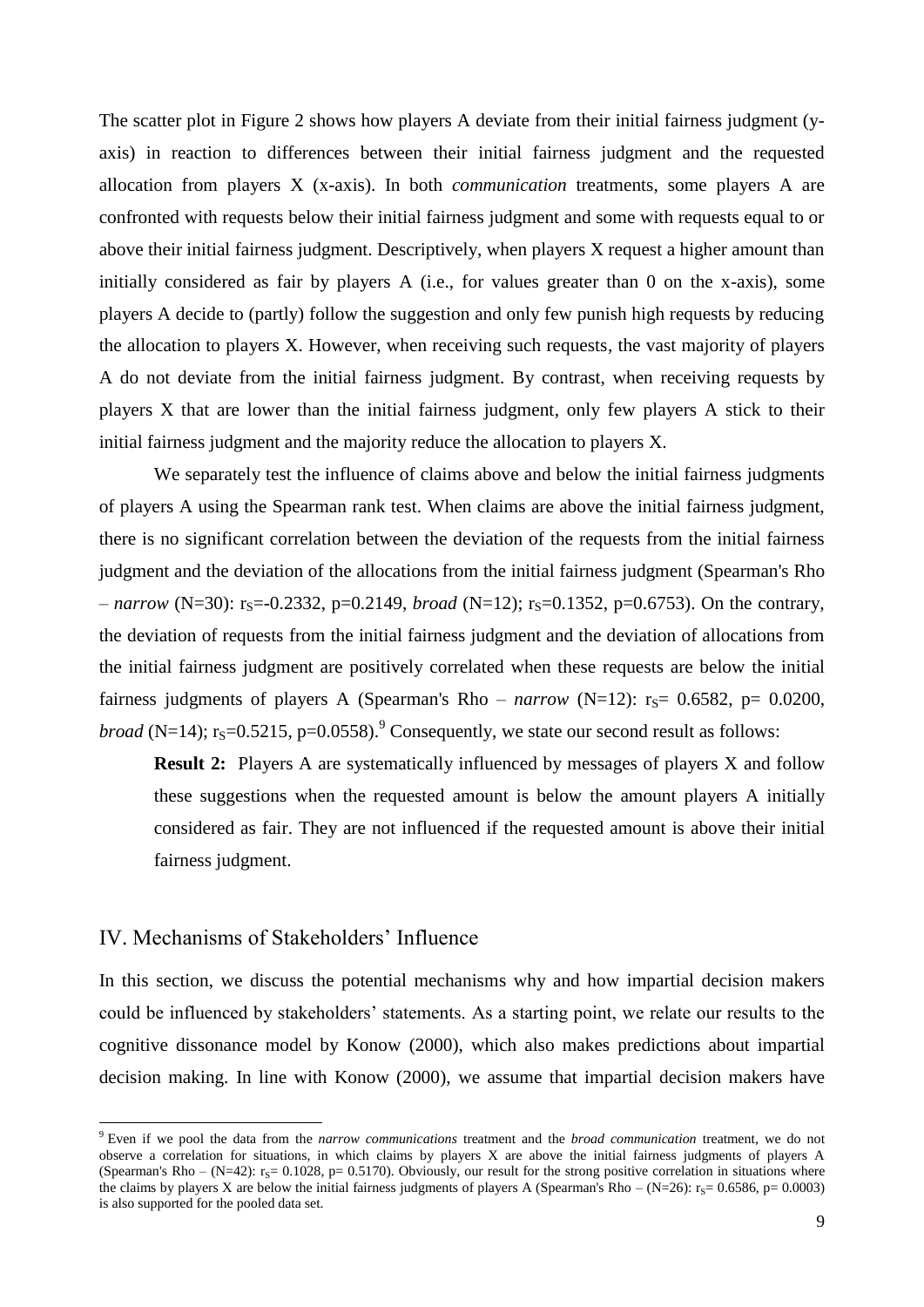The scatter plot in Figure 2 shows how players A deviate from their initial fairness judgment (yaxis) in reaction to differences between their initial fairness judgment and the requested allocation from players X (x-axis). In both *communication* treatments, some players A are confronted with requests below their initial fairness judgment and some with requests equal to or above their initial fairness judgment. Descriptively, when players X request a higher amount than initially considered as fair by players A (i.e., for values greater than 0 on the x-axis), some players A decide to (partly) follow the suggestion and only few punish high requests by reducing the allocation to players X. However, when receiving such requests, the vast majority of players A do not deviate from the initial fairness judgment. By contrast, when receiving requests by players X that are lower than the initial fairness judgment, only few players A stick to their initial fairness judgment and the majority reduce the allocation to players X.

We separately test the influence of claims above and below the initial fairness judgments of players A using the Spearman rank test. When claims are above the initial fairness judgment, there is no significant correlation between the deviation of the requests from the initial fairness judgment and the deviation of the allocations from the initial fairness judgment (Spearman's Rho  $-$  *narrow* (N=30): r<sub>S</sub>=-0.2332, p=0.2149, *broad* (N=12); r<sub>S</sub>=0.1352, p=0.6753). On the contrary, the deviation of requests from the initial fairness judgment and the deviation of allocations from the initial fairness judgment are positively correlated when these requests are below the initial fairness judgments of players A (Spearman's Rho – *narrow* (N=12):  $r_s$ = 0.6582, p= 0.0200, *broad* (N=14);  $r_s$ =0.5215, p=0.0558).<sup>9</sup> Consequently, we state our second result as follows:

**Result 2:** Players A are systematically influenced by messages of players X and follow these suggestions when the requested amount is below the amount players A initially considered as fair. They are not influenced if the requested amount is above their initial fairness judgment.

#### IV. Mechanisms of Stakeholders' Influence

 $\overline{a}$ 

In this section, we discuss the potential mechanisms why and how impartial decision makers could be influenced by stakeholders' statements. As a starting point, we relate our results to the cognitive dissonance model by Konow (2000), which also makes predictions about impartial decision making. In line with Konow (2000), we assume that impartial decision makers have

<sup>9</sup> Even if we pool the data from the *narrow communications* treatment and the *broad communication* treatment, we do not observe a correlation for situations, in which claims by players X are above the initial fairness judgments of players A (Spearman's Rho – (N=42):  $r_s$  = 0.1028, p= 0.5170). Obviously, our result for the strong positive correlation in situations where the claims by players X are below the initial fairness judgments of players A (Spearman's Rho – (N=26):  $r_s$ = 0.6586, p= 0.0003) is also supported for the pooled data set.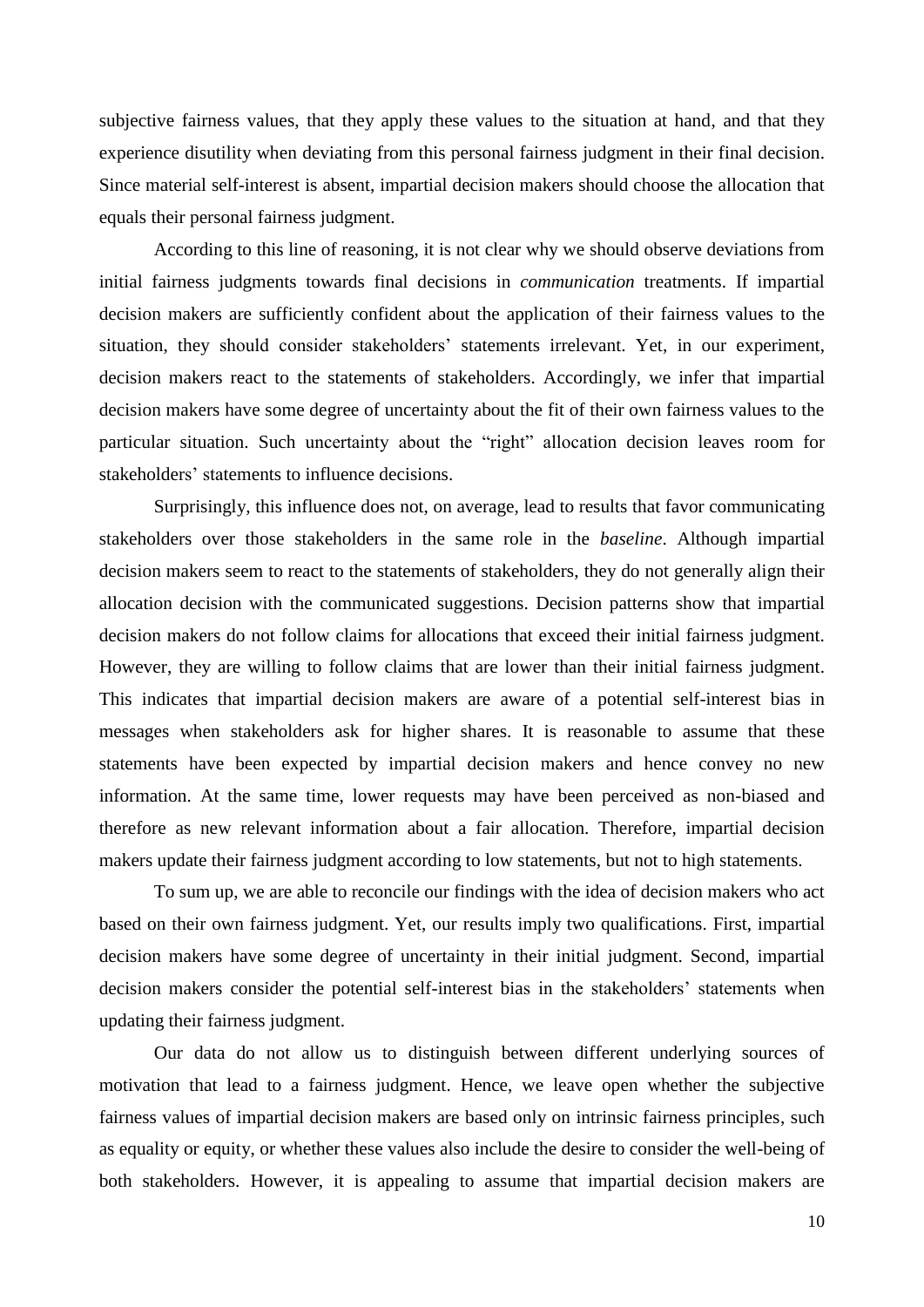subjective fairness values, that they apply these values to the situation at hand, and that they experience disutility when deviating from this personal fairness judgment in their final decision. Since material self-interest is absent, impartial decision makers should choose the allocation that equals their personal fairness judgment.

According to this line of reasoning, it is not clear why we should observe deviations from initial fairness judgments towards final decisions in *communication* treatments. If impartial decision makers are sufficiently confident about the application of their fairness values to the situation, they should consider stakeholders' statements irrelevant. Yet, in our experiment, decision makers react to the statements of stakeholders. Accordingly, we infer that impartial decision makers have some degree of uncertainty about the fit of their own fairness values to the particular situation. Such uncertainty about the "right" allocation decision leaves room for stakeholders' statements to influence decisions.

Surprisingly, this influence does not, on average, lead to results that favor communicating stakeholders over those stakeholders in the same role in the *baseline*. Although impartial decision makers seem to react to the statements of stakeholders, they do not generally align their allocation decision with the communicated suggestions. Decision patterns show that impartial decision makers do not follow claims for allocations that exceed their initial fairness judgment. However, they are willing to follow claims that are lower than their initial fairness judgment. This indicates that impartial decision makers are aware of a potential self-interest bias in messages when stakeholders ask for higher shares. It is reasonable to assume that these statements have been expected by impartial decision makers and hence convey no new information. At the same time, lower requests may have been perceived as non-biased and therefore as new relevant information about a fair allocation. Therefore, impartial decision makers update their fairness judgment according to low statements, but not to high statements.

To sum up, we are able to reconcile our findings with the idea of decision makers who act based on their own fairness judgment. Yet, our results imply two qualifications. First, impartial decision makers have some degree of uncertainty in their initial judgment. Second, impartial decision makers consider the potential self-interest bias in the stakeholders' statements when updating their fairness judgment.

Our data do not allow us to distinguish between different underlying sources of motivation that lead to a fairness judgment. Hence, we leave open whether the subjective fairness values of impartial decision makers are based only on intrinsic fairness principles, such as equality or equity, or whether these values also include the desire to consider the well-being of both stakeholders. However, it is appealing to assume that impartial decision makers are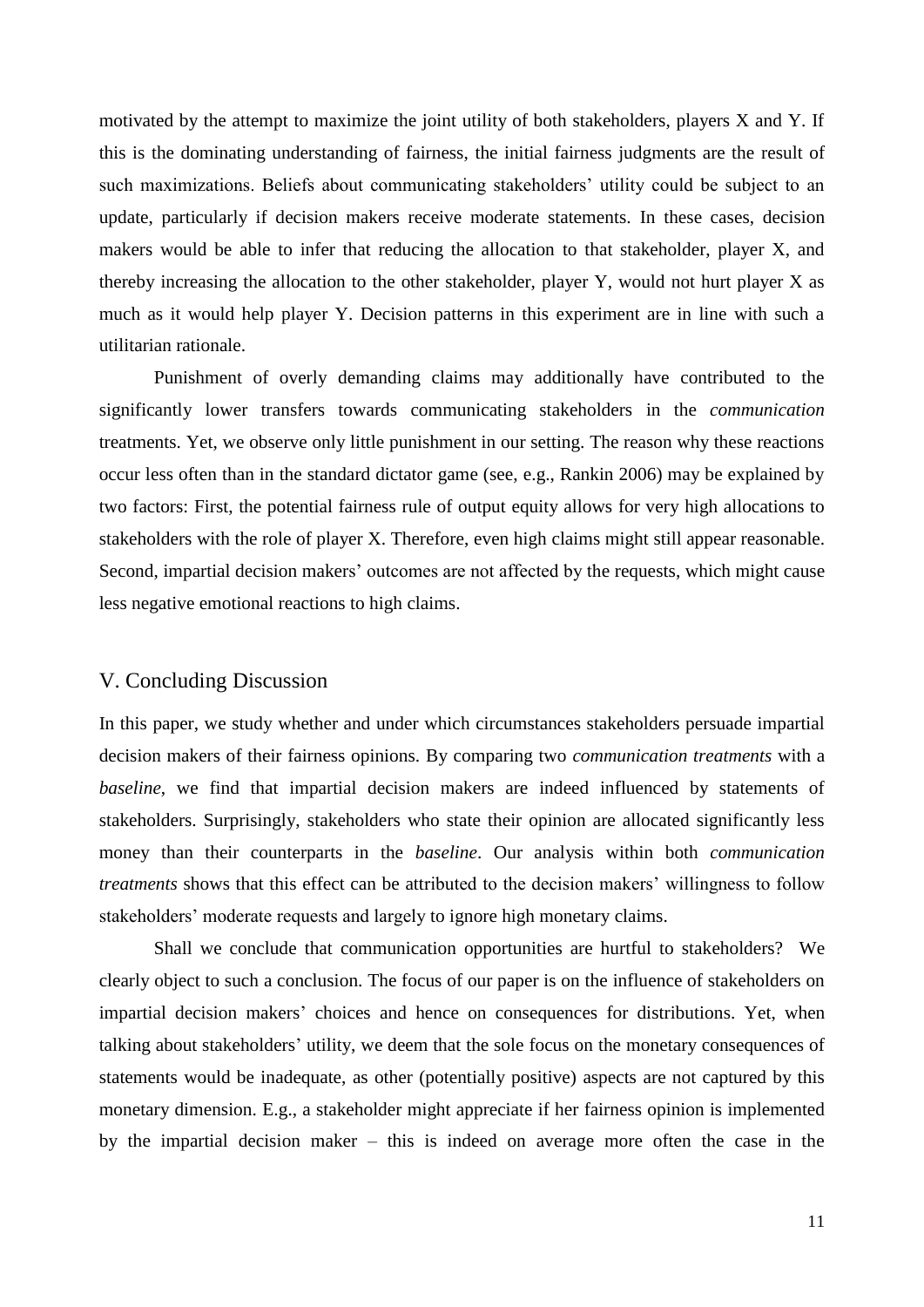motivated by the attempt to maximize the joint utility of both stakeholders, players X and Y. If this is the dominating understanding of fairness, the initial fairness judgments are the result of such maximizations. Beliefs about communicating stakeholders' utility could be subject to an update, particularly if decision makers receive moderate statements. In these cases, decision makers would be able to infer that reducing the allocation to that stakeholder, player X, and thereby increasing the allocation to the other stakeholder, player Y, would not hurt player X as much as it would help player Y. Decision patterns in this experiment are in line with such a utilitarian rationale.

Punishment of overly demanding claims may additionally have contributed to the significantly lower transfers towards communicating stakeholders in the *communication* treatments. Yet, we observe only little punishment in our setting. The reason why these reactions occur less often than in the standard dictator game (see, e.g., Rankin 2006) may be explained by two factors: First, the potential fairness rule of output equity allows for very high allocations to stakeholders with the role of player X. Therefore, even high claims might still appear reasonable. Second, impartial decision makers' outcomes are not affected by the requests, which might cause less negative emotional reactions to high claims.

#### V. Concluding Discussion

In this paper, we study whether and under which circumstances stakeholders persuade impartial decision makers of their fairness opinions. By comparing two *communication treatments* with a *baseline*, we find that impartial decision makers are indeed influenced by statements of stakeholders. Surprisingly, stakeholders who state their opinion are allocated significantly less money than their counterparts in the *baseline*. Our analysis within both *communication treatments* shows that this effect can be attributed to the decision makers' willingness to follow stakeholders' moderate requests and largely to ignore high monetary claims.

Shall we conclude that communication opportunities are hurtful to stakeholders? We clearly object to such a conclusion. The focus of our paper is on the influence of stakeholders on impartial decision makers' choices and hence on consequences for distributions. Yet, when talking about stakeholders' utility, we deem that the sole focus on the monetary consequences of statements would be inadequate, as other (potentially positive) aspects are not captured by this monetary dimension. E.g., a stakeholder might appreciate if her fairness opinion is implemented by the impartial decision maker – this is indeed on average more often the case in the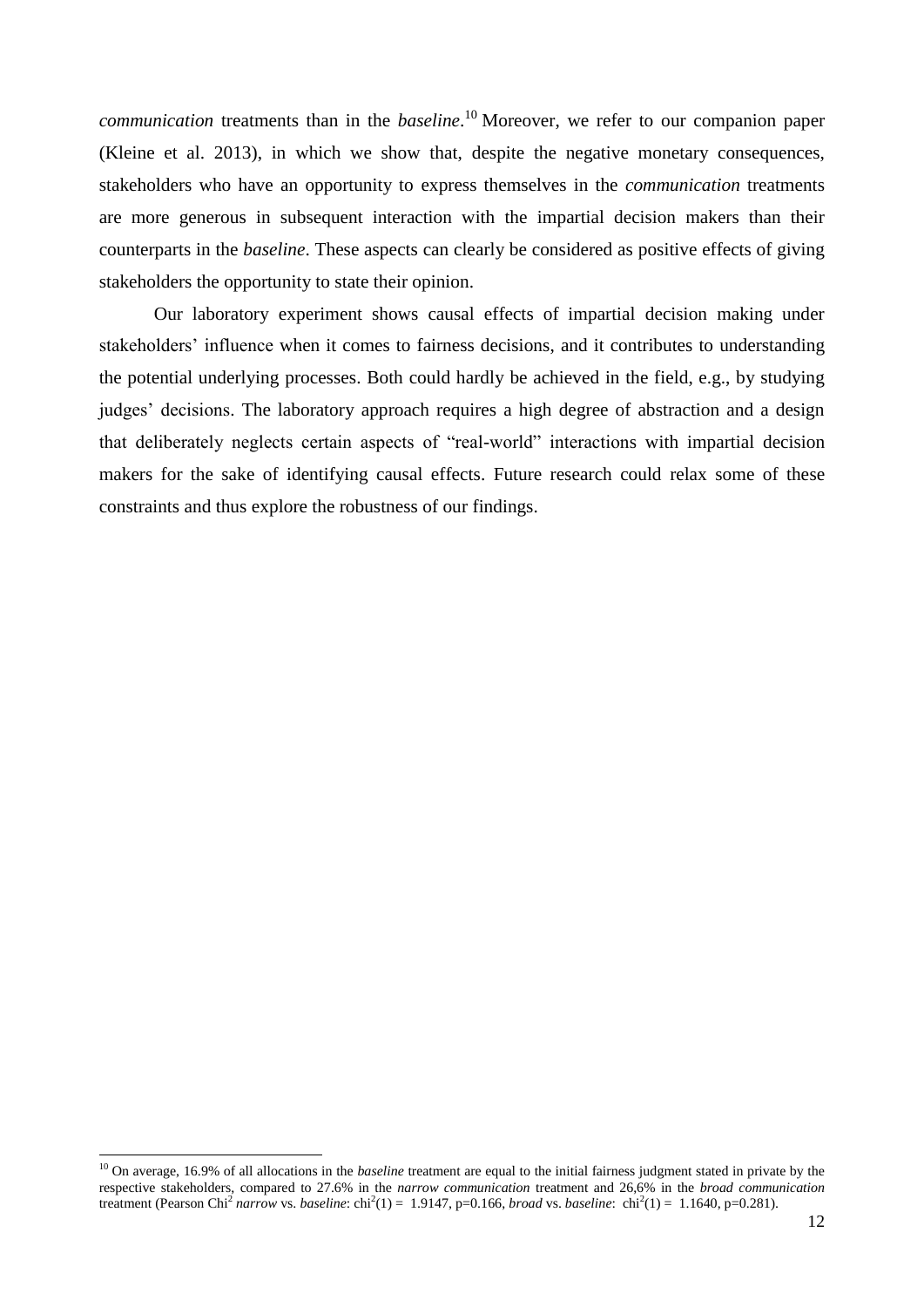*communication* treatments than in the *baseline*. <sup>10</sup> Moreover, we refer to our companion paper (Kleine et al. 2013), in which we show that, despite the negative monetary consequences, stakeholders who have an opportunity to express themselves in the *communication* treatments are more generous in subsequent interaction with the impartial decision makers than their counterparts in the *baseline*. These aspects can clearly be considered as positive effects of giving stakeholders the opportunity to state their opinion.

Our laboratory experiment shows causal effects of impartial decision making under stakeholders' influence when it comes to fairness decisions, and it contributes to understanding the potential underlying processes. Both could hardly be achieved in the field, e.g., by studying judges' decisions. The laboratory approach requires a high degree of abstraction and a design that deliberately neglects certain aspects of "real-world" interactions with impartial decision makers for the sake of identifying causal effects. Future research could relax some of these constraints and thus explore the robustness of our findings.

 $\overline{a}$ 

<sup>10</sup> On average, 16.9% of all allocations in the *baseline* treatment are equal to the initial fairness judgment stated in private by the respective stakeholders, compared to 27.6% in the *narrow communication* treatment and 26,6% in the *broad communication* treatment (Pearson Chi<sup>2</sup> *narrow* vs. *baseline*: chi<sup>2</sup> (1) = 1.9147, p=0.166, *broad* vs. *baseline*: chi<sup>2</sup> (1) = 1.1640, p=0.281).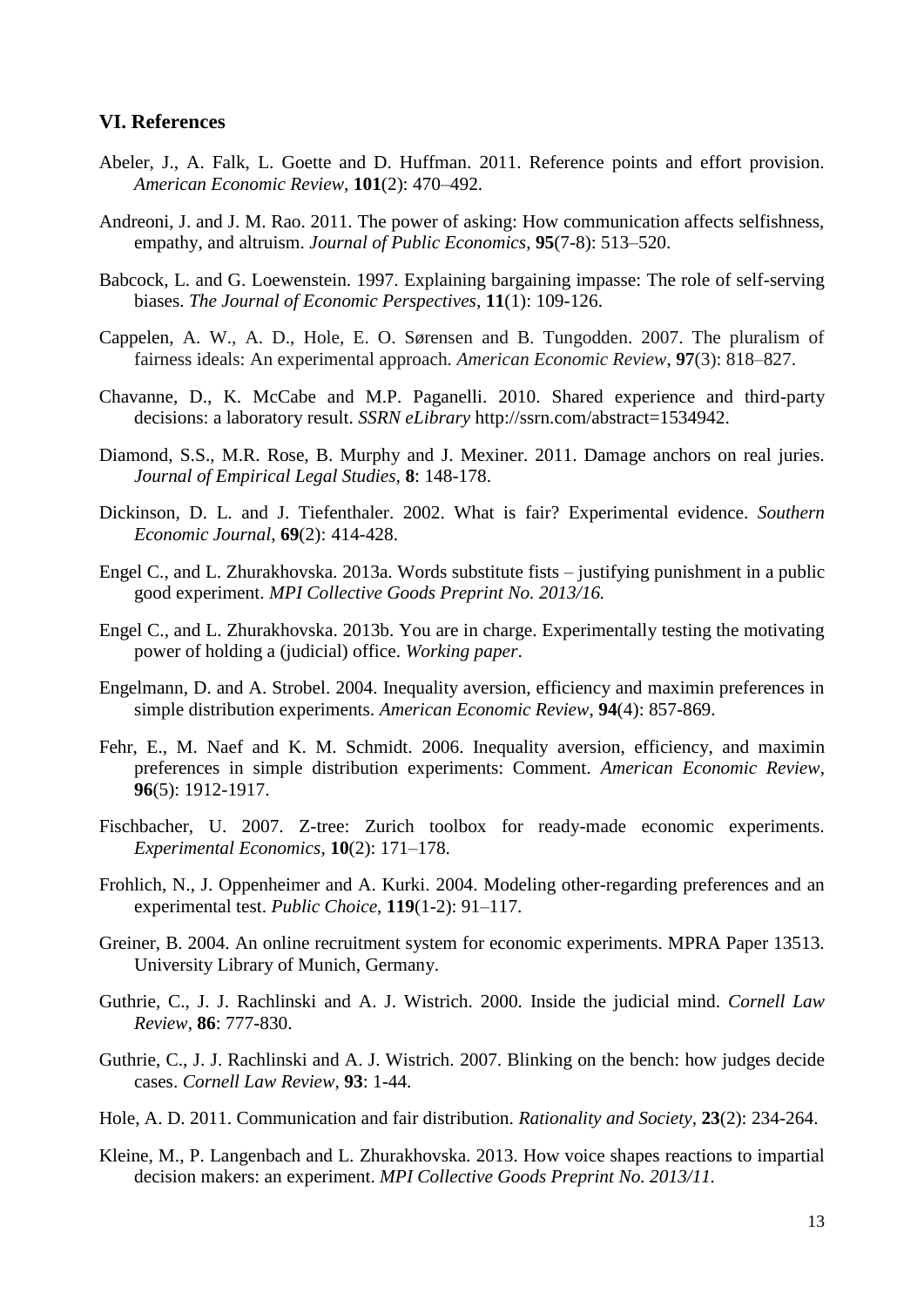#### **VI. References**

- Abeler, J., A. Falk, L. Goette and D. Huffman. 2011. Reference points and effort provision. *American Economic Review*, **101**(2): 470–492.
- Andreoni, J. and J. M. Rao. 2011. The power of asking: How communication affects selfishness, empathy, and altruism. *Journal of Public Economics*, **95**(7-8): 513–520.
- Babcock, L. and G. Loewenstein. 1997. Explaining bargaining impasse: The role of self-serving biases. *The Journal of Economic Perspectives*, **11**(1): 109-126.
- Cappelen, A. W., A. D., Hole, E. O. Sørensen and B. Tungodden. 2007. The pluralism of fairness ideals: An experimental approach. *American Economic Review*, **97**(3): 818–827.
- Chavanne, D., K. McCabe and M.P. Paganelli. 2010. Shared experience and third-party decisions: a laboratory result. *SSRN eLibrary* http://ssrn.com/abstract=1534942.
- Diamond, S.S., M.R. Rose, B. Murphy and J. Mexiner. 2011. Damage anchors on real juries. *Journal of Empirical Legal Studies,* **8**: 148-178.
- Dickinson, D. L. and J. Tiefenthaler. 2002. What is fair? Experimental evidence. *Southern Economic Journal*, **69**(2): 414-428.
- Engel C., and L. Zhurakhovska. 2013a. Words substitute fists justifying punishment in a public good experiment. *MPI Collective Goods Preprint No. 2013/16.*
- Engel C., and L. Zhurakhovska. 2013b. You are in charge. Experimentally testing the motivating power of holding a (judicial) office. *Working paper*.
- Engelmann, D. and A. Strobel. 2004. Inequality aversion, efficiency and maximin preferences in simple distribution experiments. *American Economic Review*, **94**(4): 857-869.
- Fehr, E., M. Naef and K. M. Schmidt. 2006. Inequality aversion, efficiency, and maximin preferences in simple distribution experiments: Comment. *American Economic Review*, **96**(5): 1912-1917.
- Fischbacher, U. 2007. Z-tree: Zurich toolbox for ready-made economic experiments. *Experimental Economics*, **10**(2): 171–178.
- Frohlich, N., J. Oppenheimer and A. Kurki. 2004. Modeling other-regarding preferences and an experimental test. *Public Choice*, **119**(1-2): 91–117.
- Greiner, B. 2004. An online recruitment system for economic experiments. MPRA Paper 13513. University Library of Munich, Germany.
- Guthrie, C., J. J. Rachlinski and A. J. Wistrich. 2000. Inside the judicial mind. *Cornell Law Review*, **86**: 777-830.
- Guthrie, C., J. J. Rachlinski and A. J. Wistrich. 2007. Blinking on the bench: how judges decide cases. *Cornell Law Review,* **93**: 1-44.
- Hole, A. D. 2011. Communication and fair distribution. *Rationality and Society,* **23**(2): 234-264.
- Kleine, M., P. Langenbach and L. Zhurakhovska. 2013. How voice shapes reactions to impartial decision makers: an experiment. *MPI Collective Goods Preprint No. 2013/11.*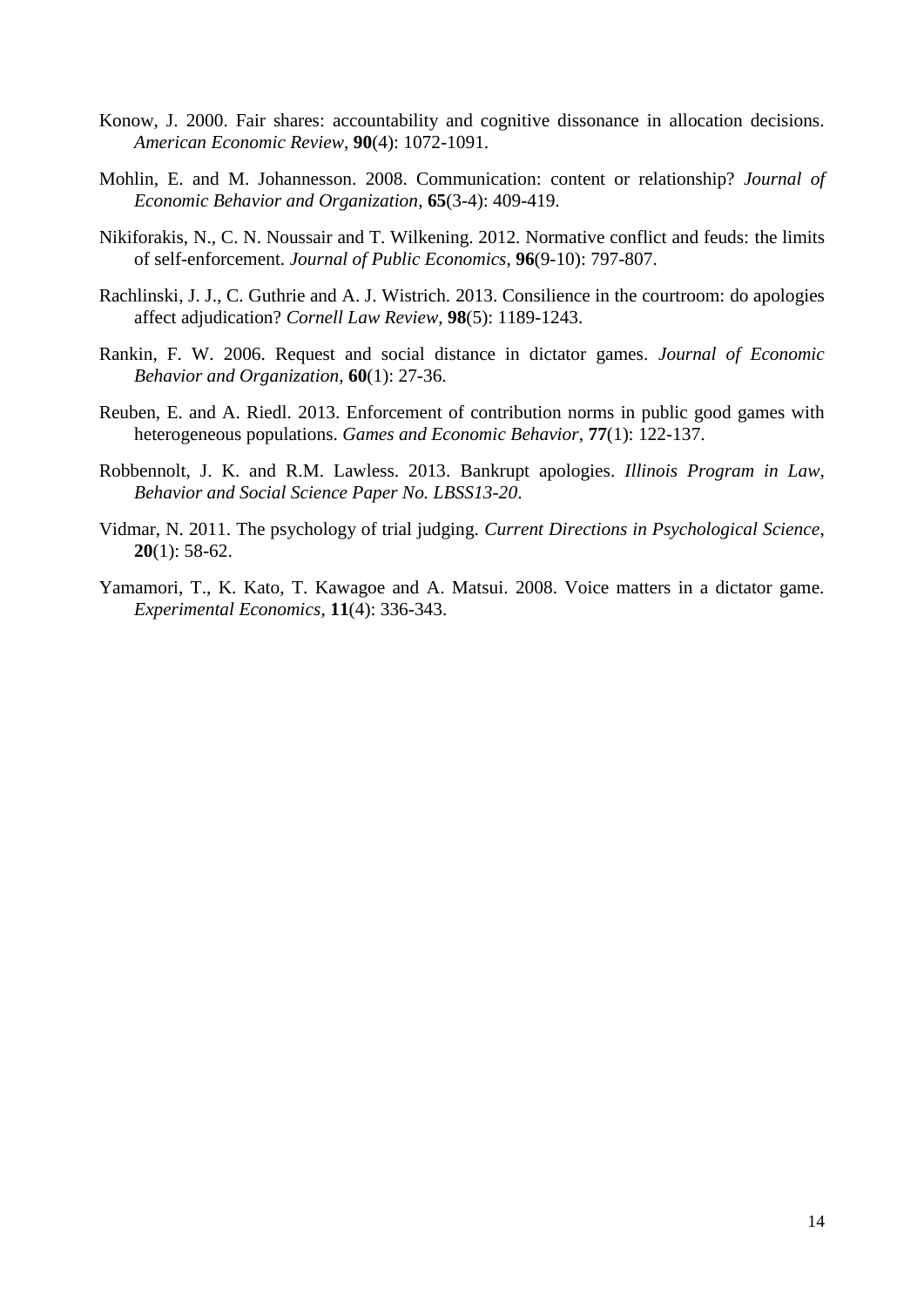- Konow, J. 2000. Fair shares: accountability and cognitive dissonance in allocation decisions. *American Economic Review*, **90**(4): 1072-1091.
- Mohlin, E. and M. Johannesson. 2008. Communication: content or relationship? *Journal of Economic Behavior and Organization*, **65**(3-4): 409-419.
- Nikiforakis, N., C. N. Noussair and T. Wilkening. 2012. Normative conflict and feuds: the limits of self-enforcement. *Journal of Public Economics*, **96**(9-10): 797-807.
- Rachlinski, J. J., C. Guthrie and A. J. Wistrich. 2013. Consilience in the courtroom: do apologies affect adjudication? *Cornell Law Review*, **98**(5): 1189-1243.
- Rankin, F. W. 2006. Request and social distance in dictator games. *Journal of Economic Behavior and Organization*, **60**(1): 27-36.
- Reuben, E. and A. Riedl. 2013. Enforcement of contribution norms in public good games with heterogeneous populations. *Games and Economic Behavior*, **77**(1): 122-137.
- Robbennolt, J. K. and R.M. Lawless. 2013. Bankrupt apologies. *Illinois Program in Law, Behavior and Social Science Paper No. LBSS13-20*.
- Vidmar, N. 2011. The psychology of trial judging. *Current Directions in Psychological Science*, **20**(1): 58-62.
- Yamamori, T., K. Kato, T. Kawagoe and A. Matsui. 2008. Voice matters in a dictator game. *Experimental Economics*, **11**(4): 336-343.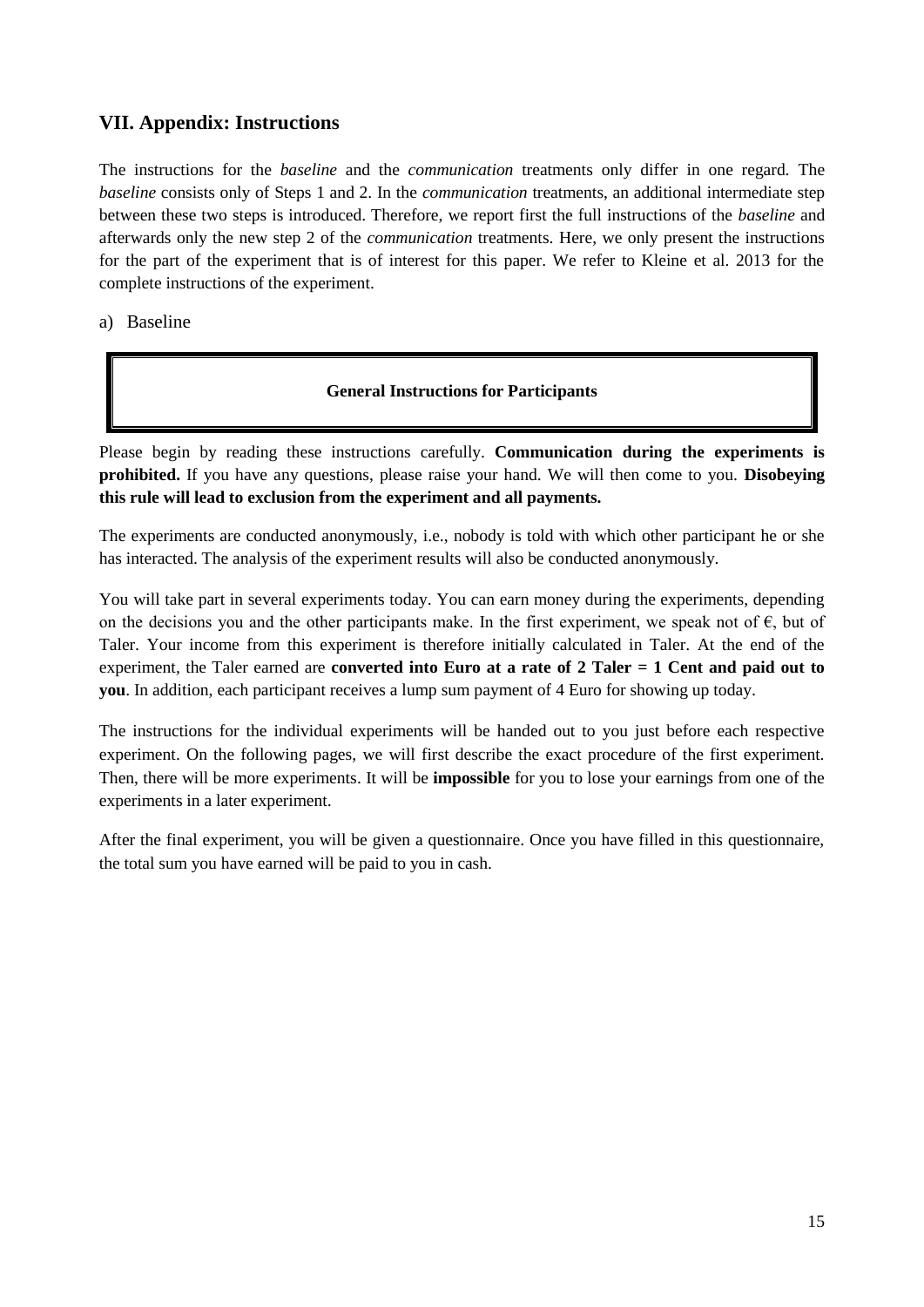### **VII. Appendix: Instructions**

The instructions for the *baseline* and the *communication* treatments only differ in one regard. The *baseline* consists only of Steps 1 and 2. In the *communication* treatments, an additional intermediate step between these two steps is introduced. Therefore, we report first the full instructions of the *baseline* and afterwards only the new step 2 of the *communication* treatments. Here, we only present the instructions for the part of the experiment that is of interest for this paper. We refer to Kleine et al. 2013 for the complete instructions of the experiment.

a) Baseline

#### **General Instructions for Participants**

Please begin by reading these instructions carefully. **Communication during the experiments is prohibited.** If you have any questions, please raise your hand. We will then come to you. **Disobeying this rule will lead to exclusion from the experiment and all payments.** 

The experiments are conducted anonymously, i.e., nobody is told with which other participant he or she has interacted. The analysis of the experiment results will also be conducted anonymously.

You will take part in several experiments today. You can earn money during the experiments, depending on the decisions you and the other participants make. In the first experiment, we speak not of  $\epsilon$ , but of Taler. Your income from this experiment is therefore initially calculated in Taler. At the end of the experiment, the Taler earned are **converted into Euro at a rate of 2 Taler = 1 Cent and paid out to you**. In addition, each participant receives a lump sum payment of 4 Euro for showing up today.

The instructions for the individual experiments will be handed out to you just before each respective experiment. On the following pages, we will first describe the exact procedure of the first experiment. Then, there will be more experiments. It will be **impossible** for you to lose your earnings from one of the experiments in a later experiment.

After the final experiment, you will be given a questionnaire. Once you have filled in this questionnaire, the total sum you have earned will be paid to you in cash.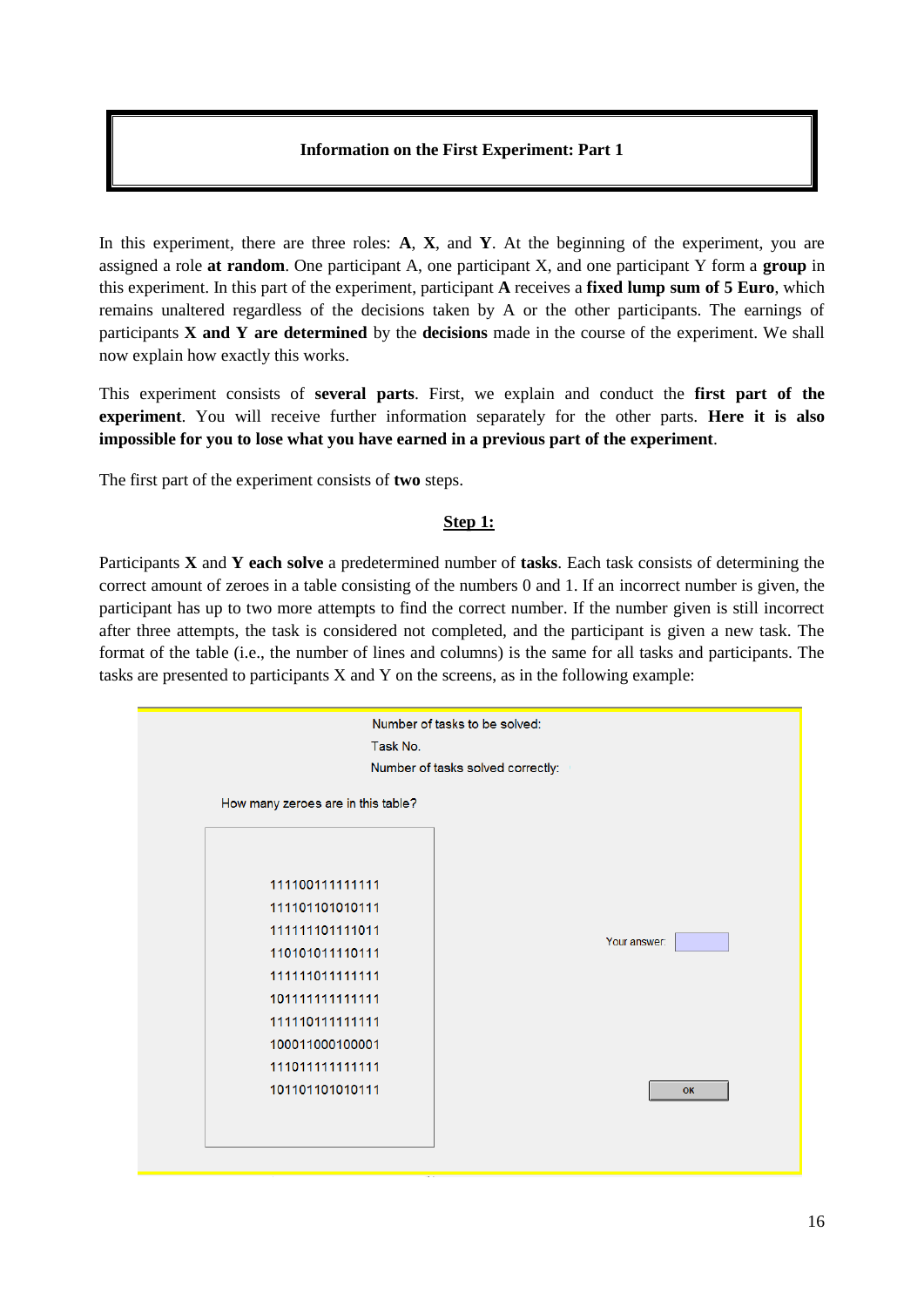#### **Information on the First Experiment: Part 1**

In this experiment, there are three roles: **A**, **X**, and **Y**. At the beginning of the experiment, you are assigned a role **at random**. One participant A, one participant X, and one participant Y form a **group** in this experiment. In this part of the experiment, participant **A** receives a **fixed lump sum of 5 Euro**, which remains unaltered regardless of the decisions taken by A or the other participants. The earnings of participants **X and Y are determined** by the **decisions** made in the course of the experiment. We shall now explain how exactly this works.

This experiment consists of **several parts**. First, we explain and conduct the **first part of the experiment**. You will receive further information separately for the other parts. **Here it is also impossible for you to lose what you have earned in a previous part of the experiment**.

The first part of the experiment consists of **two** steps.

#### **Step 1:**

Participants **X** and **Y each solve** a predetermined number of **tasks**. Each task consists of determining the correct amount of zeroes in a table consisting of the numbers 0 and 1. If an incorrect number is given, the participant has up to two more attempts to find the correct number. If the number given is still incorrect after three attempts, the task is considered not completed, and the participant is given a new task. The format of the table (i.e., the number of lines and columns) is the same for all tasks and participants. The tasks are presented to participants X and Y on the screens, as in the following example:

| Task No.<br>Number of tasks solved correctly: |                                    |              |  |  |
|-----------------------------------------------|------------------------------------|--------------|--|--|
|                                               | How many zeroes are in this table? |              |  |  |
|                                               | 1111001111111111                   |              |  |  |
|                                               | 111101101010111                    |              |  |  |
|                                               | 111111101111011                    |              |  |  |
|                                               | 110101011110111                    | Your answer: |  |  |
|                                               | 111111011111111                    |              |  |  |
|                                               | 101111111111111                    |              |  |  |
|                                               | 111110111111111                    |              |  |  |
|                                               | 100011000100001                    |              |  |  |
|                                               | 1110111111111111                   |              |  |  |
|                                               | 101101101010111                    | OK           |  |  |
|                                               |                                    |              |  |  |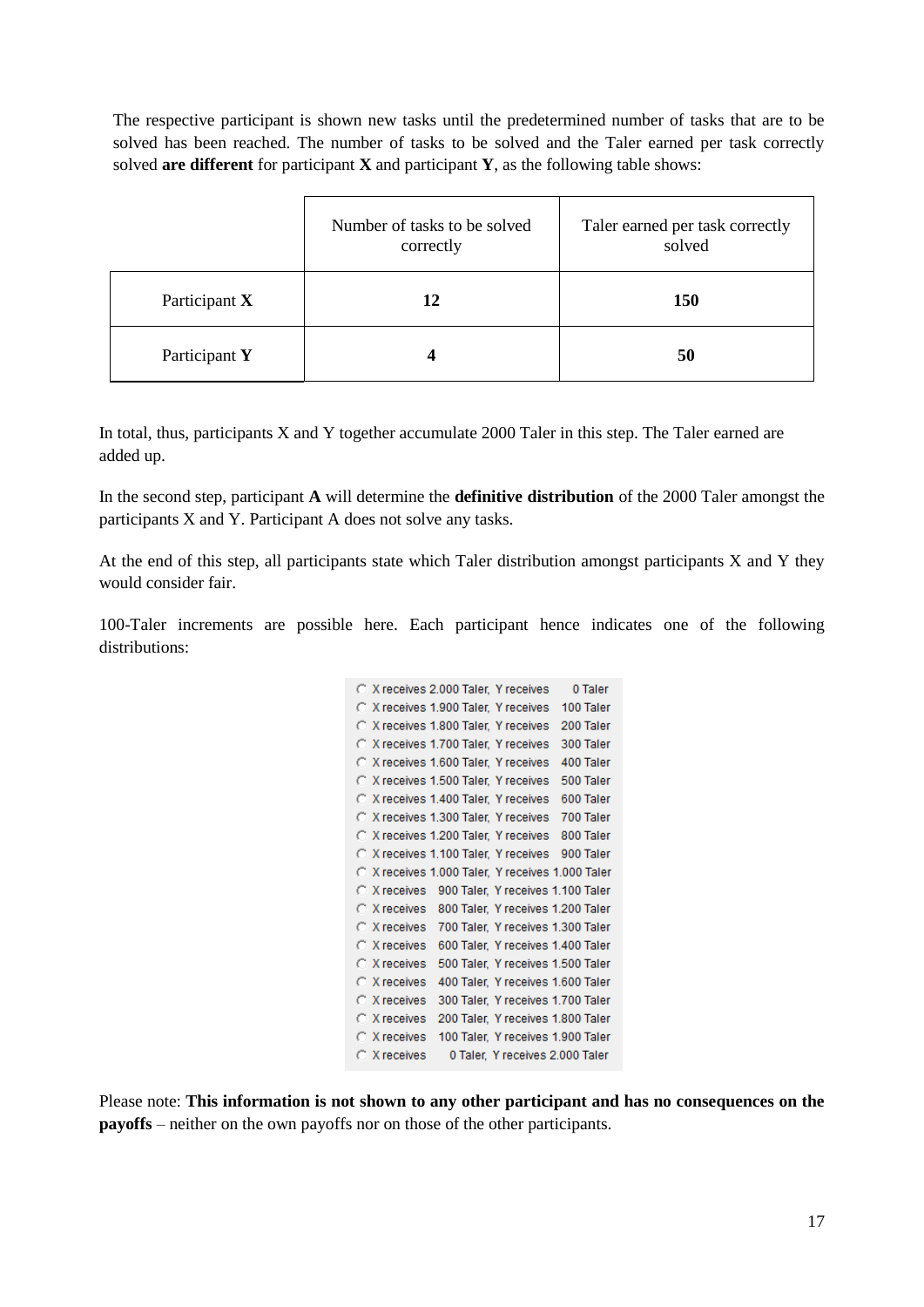The respective participant is shown new tasks until the predetermined number of tasks that are to be solved has been reached. The number of tasks to be solved and the Taler earned per task correctly solved **are different** for participant **X** and participant **Y**, as the following table shows:

|                 | Number of tasks to be solved<br>correctly | Taler earned per task correctly<br>solved |
|-----------------|-------------------------------------------|-------------------------------------------|
| Participant $X$ | 12                                        | <b>150</b>                                |
| Participant Y   |                                           | 50                                        |

In total, thus, participants X and Y together accumulate 2000 Taler in this step. The Taler earned are added up.

In the second step, participant **A** will determine the **definitive distribution** of the 2000 Taler amongst the participants X and Y. Participant A does not solve any tasks.

At the end of this step, all participants state which Taler distribution amongst participants X and Y they would consider fair.

100-Taler increments are possible here. Each participant hence indicates one of the following distributions:

Please note: **This information is not shown to any other participant and has no consequences on the payoffs** – neither on the own payoffs nor on those of the other participants.